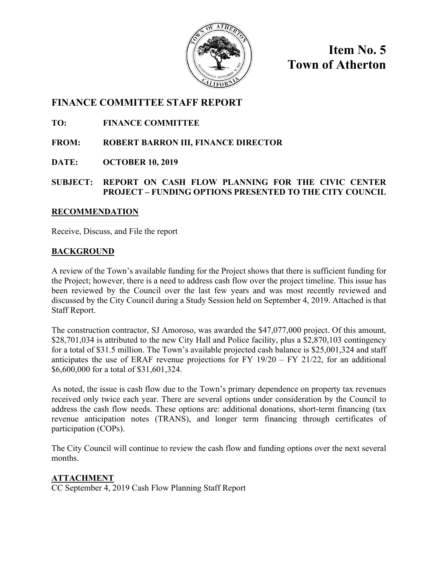

**Item No. 5 Town of Atherton** 

### **FINANCE COMMITTEE STAFF REPORT**

**TO: FINANCE COMMITTEE** 

**FROM: ROBERT BARRON III, FINANCE DIRECTOR** 

**DATE: OCTOBER 10, 2019** 

### **SUBJECT: REPORT ON CASH FLOW PLANNING FOR THE CIVIC CENTER PROJECT – FUNDING OPTIONS PRESENTED TO THE CITY COUNCIL**

### **RECOMMENDATION**

Receive, Discuss, and File the report

### **BACKGROUND**

A review of the Town's available funding for the Project shows that there is sufficient funding for the Project; however, there is a need to address cash flow over the project timeline. This issue has been reviewed by the Council over the last few years and was most recently reviewed and discussed by the City Council during a Study Session held on September 4, 2019. Attached is that Staff Report.

The construction contractor, SJ Amoroso, was awarded the \$47,077,000 project. Of this amount, \$28,701,034 is attributed to the new City Hall and Police facility, plus a \$2,870,103 contingency for a total of \$31.5 million. The Town's available projected cash balance is \$25,001,324 and staff anticipates the use of ERAF revenue projections for FY  $19/20 - FY 21/22$ , for an additional \$6,600,000 for a total of \$31,601,324.

As noted, the issue is cash flow due to the Town's primary dependence on property tax revenues received only twice each year. There are several options under consideration by the Council to address the cash flow needs. These options are: additional donations, short-term financing (tax revenue anticipation notes (TRANS), and longer term financing through certificates of participation (COPs).

The City Council will continue to review the cash flow and funding options over the next several months.

### **ATTACHMENT**

CC September 4, 2019 Cash Flow Planning Staff Report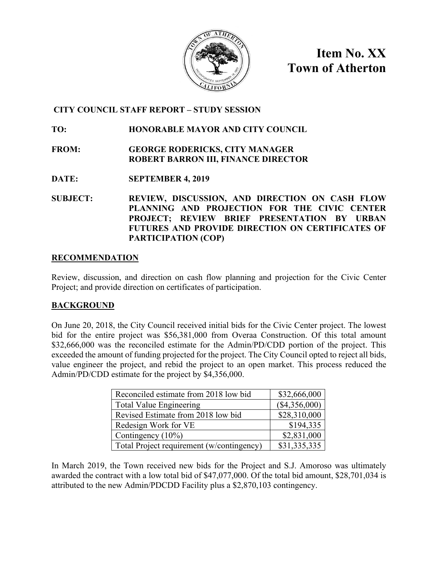

**Item No. XX Town of Atherton**

### **CITY COUNCIL STAFF REPORT – STUDY SESSION**

### **TO: HONORABLE MAYOR AND CITY COUNCIL**

- **FROM: GEORGE RODERICKS, CITY MANAGER ROBERT BARRON III, FINANCE DIRECTOR**
- **DATE: SEPTEMBER 4, 2019**
- **SUBJECT: REVIEW, DISCUSSION, AND DIRECTION ON CASH FLOW PLANNING AND PROJECTION FOR THE CIVIC CENTER PROJECT; REVIEW BRIEF PRESENTATION BY URBAN FUTURES AND PROVIDE DIRECTION ON CERTIFICATES OF PARTICIPATION (COP)**

### **RECOMMENDATION**

Review, discussion, and direction on cash flow planning and projection for the Civic Center Project; and provide direction on certificates of participation.

### **BACKGROUND**

On June 20, 2018, the City Council received initial bids for the Civic Center project. The lowest bid for the entire project was \$56,381,000 from Overaa Construction. Of this total amount \$32,666,000 was the reconciled estimate for the Admin/PD/CDD portion of the project. This exceeded the amount of funding projected for the project. The City Council opted to reject all bids, value engineer the project, and rebid the project to an open market. This process reduced the Admin/PD/CDD estimate for the project by \$4,356,000.

| Reconciled estimate from 2018 low bid     | \$32,666,000  |
|-------------------------------------------|---------------|
| <b>Total Value Engineering</b>            | (\$4,356,000) |
| Revised Estimate from 2018 low bid        | \$28,310,000  |
| Redesign Work for VE                      | \$194,335     |
| Contingency $(10\%)$                      | \$2,831,000   |
| Total Project requirement (w/contingency) | \$31,335,335  |

In March 2019, the Town received new bids for the Project and S.J. Amoroso was ultimately awarded the contract with a low total bid of \$47,077,000. Of the total bid amount, \$28,701,034 is attributed to the new Admin/PDCDD Facility plus a \$2,870,103 contingency.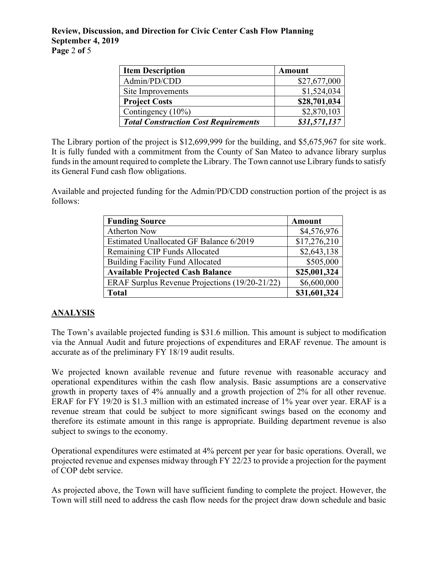#### **Review, Discussion, and Direction for Civic Center Cash Flow Planning September 4, 2019 Page** 2 **of** 5

| <b>Item Description</b>                     | <b>Amount</b> |
|---------------------------------------------|---------------|
| Admin/PD/CDD                                | \$27,677,000  |
| Site Improvements                           | \$1,524,034   |
| <b>Project Costs</b>                        | \$28,701,034  |
| Contingency (10%)                           | \$2,870,103   |
| <b>Total Construction Cost Requirements</b> | \$31,571,137  |

The Library portion of the project is \$12,699,999 for the building, and \$5,675,967 for site work. It is fully funded with a commitment from the County of San Mateo to advance library surplus funds in the amount required to complete the Library. The Town cannot use Library funds to satisfy its General Fund cash flow obligations.

Available and projected funding for the Admin/PD/CDD construction portion of the project is as follows:

| <b>Funding Source</b>                          | <b>Amount</b> |
|------------------------------------------------|---------------|
| <b>Atherton Now</b>                            | \$4,576,976   |
| Estimated Unallocated GF Balance 6/2019        | \$17,276,210  |
| Remaining CIP Funds Allocated                  | \$2,643,138   |
| <b>Building Facility Fund Allocated</b>        | \$505,000     |
| <b>Available Projected Cash Balance</b>        | \$25,001,324  |
| ERAF Surplus Revenue Projections (19/20-21/22) | \$6,600,000   |
| <b>Total</b>                                   | \$31,601,324  |

### **ANALYSIS**

The Town's available projected funding is \$31.6 million. This amount is subject to modification via the Annual Audit and future projections of expenditures and ERAF revenue. The amount is accurate as of the preliminary FY 18/19 audit results.

We projected known available revenue and future revenue with reasonable accuracy and operational expenditures within the cash flow analysis. Basic assumptions are a conservative growth in property taxes of 4% annually and a growth projection of 2% for all other revenue. ERAF for FY 19/20 is \$1.3 million with an estimated increase of 1% year over year. ERAF is a revenue stream that could be subject to more significant swings based on the economy and therefore its estimate amount in this range is appropriate. Building department revenue is also subject to swings to the economy.

Operational expenditures were estimated at 4% percent per year for basic operations. Overall, we projected revenue and expenses midway through FY 22/23 to provide a projection for the payment of COP debt service.

As projected above, the Town will have sufficient funding to complete the project. However, the Town will still need to address the cash flow needs for the project draw down schedule and basic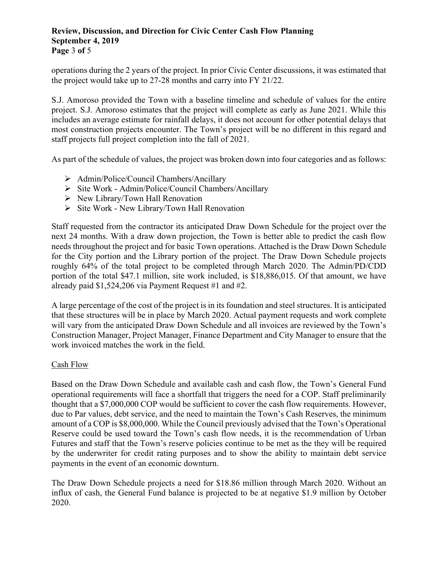#### **Review, Discussion, and Direction for Civic Center Cash Flow Planning September 4, 2019 Page** 3 **of** 5

operations during the 2 years of the project. In prior Civic Center discussions, it was estimated that the project would take up to 27-28 months and carry into FY 21/22.

S.J. Amoroso provided the Town with a baseline timeline and schedule of values for the entire project. S.J. Amoroso estimates that the project will complete as early as June 2021. While this includes an average estimate for rainfall delays, it does not account for other potential delays that most construction projects encounter. The Town's project will be no different in this regard and staff projects full project completion into the fall of 2021.

As part of the schedule of values, the project was broken down into four categories and as follows:

- $\triangleright$  Admin/Police/Council Chambers/Ancillary
- Site Work Admin/Police/Council Chambers/Ancillary
- $\triangleright$  New Library/Town Hall Renovation
- $\triangleright$  Site Work New Library/Town Hall Renovation

Staff requested from the contractor its anticipated Draw Down Schedule for the project over the next 24 months. With a draw down projection, the Town is better able to predict the cash flow needs throughout the project and for basic Town operations. Attached is the Draw Down Schedule for the City portion and the Library portion of the project. The Draw Down Schedule projects roughly 64% of the total project to be completed through March 2020. The Admin/PD/CDD portion of the total \$47.1 million, site work included, is \$18,886,015. Of that amount, we have already paid \$1,524,206 via Payment Request #1 and #2.

A large percentage of the cost of the project is in its foundation and steel structures. It is anticipated that these structures will be in place by March 2020. Actual payment requests and work complete will vary from the anticipated Draw Down Schedule and all invoices are reviewed by the Town's Construction Manager, Project Manager, Finance Department and City Manager to ensure that the work invoiced matches the work in the field.

#### Cash Flow

Based on the Draw Down Schedule and available cash and cash flow, the Town's General Fund operational requirements will face a shortfall that triggers the need for a COP. Staff preliminarily thought that a \$7,000,000 COP would be sufficient to cover the cash flow requirements. However, due to Par values, debt service, and the need to maintain the Town's Cash Reserves, the minimum amount of a COP is \$8,000,000. While the Council previously advised that the Town's Operational Reserve could be used toward the Town's cash flow needs, it is the recommendation of Urban Futures and staff that the Town's reserve policies continue to be met as the they will be required by the underwriter for credit rating purposes and to show the ability to maintain debt service payments in the event of an economic downturn.

The Draw Down Schedule projects a need for \$18.86 million through March 2020. Without an influx of cash, the General Fund balance is projected to be at negative \$1.9 million by October 2020.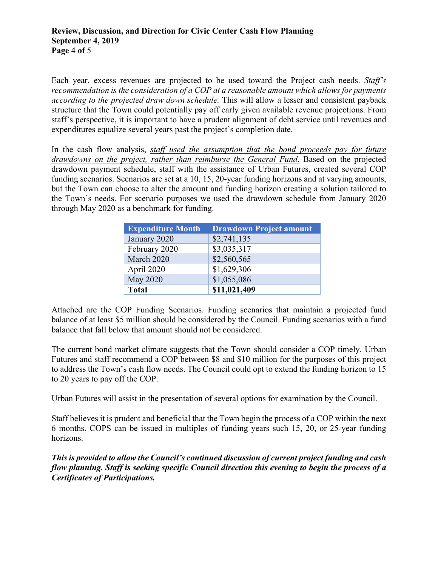Each year, excess revenues are projected to be used toward the Project cash needs. *Staff's recommendation is the consideration of a COP at a reasonable amount which allows for payments according to the projected draw down schedule.* This will allow a lesser and consistent payback structure that the Town could potentially pay off early given available revenue projections. From staff's perspective, it is important to have a prudent alignment of debt service until revenues and expenditures equalize several years past the project's completion date.

In the cash flow analysis, *staff used the assumption that the bond proceeds pay for future drawdowns on the project, rather than reimburse the General Fund*. Based on the projected drawdown payment schedule, staff with the assistance of Urban Futures, created several COP funding scenarios. Scenarios are set at a 10, 15, 20-year funding horizons and at varying amounts, but the Town can choose to alter the amount and funding horizon creating a solution tailored to the Town's needs. For scenario purposes we used the drawdown schedule from January 2020 through May 2020 as a benchmark for funding.

| <b>Expenditure Month</b> | <b>Drawdown Project amount</b> |
|--------------------------|--------------------------------|
| January 2020             | \$2,741,135                    |
| February 2020            | \$3,035,317                    |
| March 2020               | \$2,560,565                    |
| April 2020               | \$1,629,306                    |
| May 2020                 | \$1,055,086                    |
| <b>Total</b>             | \$11,021,409                   |

Attached are the COP Funding Scenarios. Funding scenarios that maintain a projected fund balance of at least \$5 million should be considered by the Council. Funding scenarios with a fund balance that fall below that amount should not be considered.

The current bond market climate suggests that the Town should consider a COP timely. Urban Futures and staff recommend a COP between \$8 and \$10 million for the purposes of this project to address the Town's cash flow needs. The Council could opt to extend the funding horizon to 15 to 20 years to pay off the COP.

Urban Futures will assist in the presentation of several options for examination by the Council.

Staff believes it is prudent and beneficial that the Town begin the process of a COP within the next 6 months. COPS can be issued in multiples of funding years such 15, 20, or 25-year funding horizons.

*This is provided to allow the Council's continued discussion of current project funding and cash flow planning. Staff is seeking specific Council direction this evening to begin the process of a Certificates of Participations.*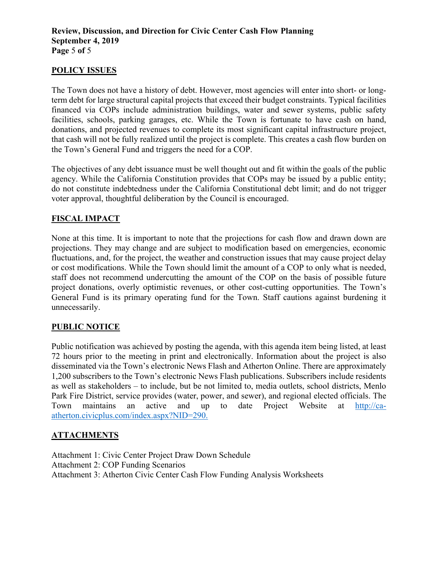### **POLICY ISSUES**

The Town does not have a history of debt. However, most agencies will enter into short- or longterm debt for large structural capital projects that exceed their budget constraints. Typical facilities financed via COPs include administration buildings, water and sewer systems, public safety facilities, schools, parking garages, etc. While the Town is fortunate to have cash on hand, donations, and projected revenues to complete its most significant capital infrastructure project, that cash will not be fully realized until the project is complete. This creates a cash flow burden on the Town's General Fund and triggers the need for a COP.

The objectives of any debt issuance must be well thought out and fit within the goals of the public agency. While the California Constitution provides that COPs may be issued by a public entity; do not constitute indebtedness under the California Constitutional debt limit; and do not trigger voter approval, thoughtful deliberation by the Council is encouraged.

### **FISCAL IMPACT**

None at this time. It is important to note that the projections for cash flow and drawn down are projections. They may change and are subject to modification based on emergencies, economic fluctuations, and, for the project, the weather and construction issues that may cause project delay or cost modifications. While the Town should limit the amount of a COP to only what is needed, staff does not recommend undercutting the amount of the COP on the basis of possible future project donations, overly optimistic revenues, or other cost-cutting opportunities. The Town's General Fund is its primary operating fund for the Town. Staff cautions against burdening it unnecessarily.

### **PUBLIC NOTICE**

Public notification was achieved by posting the agenda, with this agenda item being listed, at least 72 hours prior to the meeting in print and electronically. Information about the project is also disseminated via the Town's electronic News Flash and Atherton Online. There are approximately 1,200 subscribers to the Town's electronic News Flash publications. Subscribers include residents as well as stakeholders – to include, but be not limited to, media outlets, school districts, Menlo Park Fire District, service provides (water, power, and sewer), and regional elected officials. The Town maintains an active and up to date Project Website at http://caatherton.civicplus.com/index.aspx?NID=290.

### **ATTACHMENTS**

Attachment 1: Civic Center Project Draw Down Schedule Attachment 2: COP Funding Scenarios Attachment 3: Atherton Civic Center Cash Flow Funding Analysis Worksheets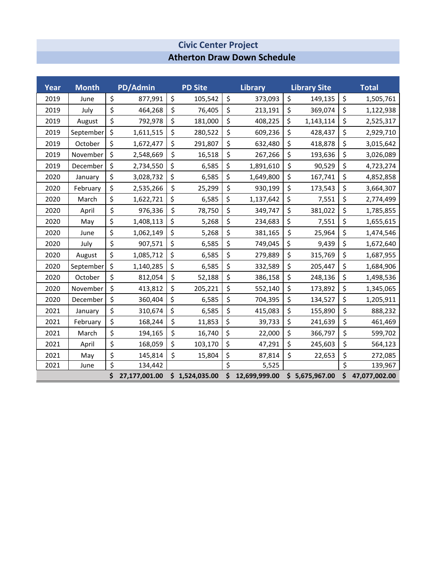### **Atherton Draw Down Schedule Civic Center Project**

| Year | <b>Month</b> | PD/Admin            | <b>PD Site</b> |                         | <b>Library</b> |    | <b>Library Site</b> | <b>Total</b>        |
|------|--------------|---------------------|----------------|-------------------------|----------------|----|---------------------|---------------------|
| 2019 | June         | \$<br>877,991       | \$<br>105,542  | \$                      | 373,093        | \$ | 149,135             | \$<br>1,505,761     |
| 2019 | July         | \$<br>464,268       | \$<br>76,405   | \$                      | 213,191        | \$ | 369,074             | \$<br>1,122,938     |
| 2019 | August       | \$<br>792,978       | \$<br>181,000  | \$                      | 408,225        | \$ | 1,143,114           | \$<br>2,525,317     |
| 2019 | September    | \$<br>1,611,515     | \$<br>280,522  | \$                      | 609,236        | \$ | 428,437             | \$<br>2,929,710     |
| 2019 | October      | \$<br>1,672,477     | \$<br>291,807  | \$                      | 632,480        | \$ | 418,878             | \$<br>3,015,642     |
| 2019 | November     | \$<br>2,548,669     | \$<br>16,518   | \$                      | 267,266        | \$ | 193,636             | \$<br>3,026,089     |
| 2019 | December     | \$<br>2,734,550     | \$<br>6,585    | \$                      | 1,891,610      | \$ | 90,529              | \$<br>4,723,274     |
| 2020 | January      | \$<br>3,028,732     | \$<br>6,585    | \$                      | 1,649,800      | \$ | 167,741             | \$<br>4,852,858     |
| 2020 | February     | \$<br>2,535,266     | \$<br>25,299   | \$                      | 930,199        | \$ | 173,543             | \$<br>3,664,307     |
| 2020 | March        | \$<br>1,622,721     | \$<br>6,585    | \$                      | 1,137,642      | \$ | 7,551               | \$<br>2,774,499     |
| 2020 | April        | \$<br>976,336       | \$<br>78,750   | \$                      | 349,747        | \$ | 381,022             | \$<br>1,785,855     |
| 2020 | May          | \$<br>1,408,113     | \$<br>5,268    | \$                      | 234,683        | \$ | 7,551               | \$<br>1,655,615     |
| 2020 | June         | \$<br>1,062,149     | \$<br>5,268    | \$                      | 381,165        | \$ | 25,964              | \$<br>1,474,546     |
| 2020 | July         | \$<br>907,571       | \$<br>6,585    | \$                      | 749,045        | \$ | 9,439               | \$<br>1,672,640     |
| 2020 | August       | \$<br>1,085,712     | \$<br>6,585    | \$                      | 279,889        | \$ | 315,769             | \$<br>1,687,955     |
| 2020 | September    | \$<br>1,140,285     | \$<br>6,585    | \$                      | 332,589        | \$ | 205,447             | \$<br>1,684,906     |
| 2020 | October      | \$<br>812,054       | \$<br>52,188   | \$                      | 386,158        | \$ | 248,136             | \$<br>1,498,536     |
| 2020 | November     | \$<br>413,812       | \$<br>205,221  | \$                      | 552,140        | \$ | 173,892             | \$<br>1,345,065     |
| 2020 | December     | \$<br>360,404       | \$<br>6,585    | \$                      | 704,395        | \$ | 134,527             | \$<br>1,205,911     |
| 2021 | January      | \$<br>310,674       | \$<br>6,585    | \$                      | 415,083        | \$ | 155,890             | \$<br>888,232       |
| 2021 | February     | \$<br>168,244       | \$<br>11,853   | \$                      | 39,733         | \$ | 241,639             | \$<br>461,469       |
| 2021 | March        | \$<br>194,165       | \$<br>16,740   | \$                      | 22,000         | \$ | 366,797             | \$<br>599,702       |
| 2021 | April        | \$<br>168,059       | \$<br>103,170  | \$                      | 47,291         | \$ | 245,603             | \$<br>564,123       |
| 2021 | May          | \$<br>145,814       | \$<br>15,804   | \$                      | 87,814         | \$ | 22,653              | \$<br>272,085       |
| 2021 | June         | \$<br>134,442       |                | $\overline{\mathsf{s}}$ | 5,525          |    |                     | \$<br>139,967       |
|      |              | \$<br>27,177,001.00 | \$1,524,035.00 | \$                      | 12,699,999.00  |    | \$5,675,967.00      | \$<br>47,077,002.00 |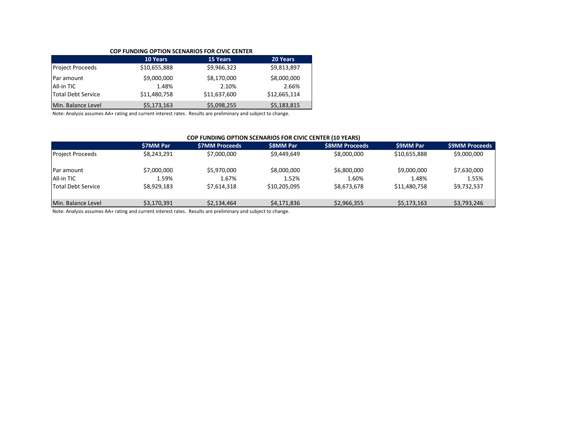#### **COP FUNDING OPTION SCENARIOS FOR CIVIC CENTER**

|                                                       | <b>10 Years</b>                      | <b>15 Years</b>                      | 20 Years                             |
|-------------------------------------------------------|--------------------------------------|--------------------------------------|--------------------------------------|
| <b>Project Proceeds</b>                               | \$10,655,888                         | \$9,966,323                          | \$9,813,897                          |
| Par amount<br>All-in TIC<br><b>Total Debt Service</b> | \$9,000,000<br>1.48%<br>\$11,480,758 | \$8,170,000<br>2.10%<br>\$11,637,600 | \$8,000,000<br>2.66%<br>\$12,665,114 |
| Min. Balance Level                                    | \$5,173,163                          | \$5,098,255                          | \$5,183,815                          |

Note: Analysis assumes AA+ rating and current interest rates. Results are preliminary and subject to change.

#### **COP FUNDING OPTION SCENARIOS FOR CIVIC CENTER (10 YEARS)**

|                         | <b>S7MM Par</b> | <b>S7MM Proceeds</b> | <b>S8MM Par</b> | <b>S8MM Proceeds</b> | <b>S9MM Par</b> | <b>S9MM Proceeds</b> |
|-------------------------|-----------------|----------------------|-----------------|----------------------|-----------------|----------------------|
| <b>Project Proceeds</b> | \$8.243.291     | \$7,000,000          | \$9.449.649     | \$8,000,000          | \$10,655,888    | \$9,000,000          |
| Par amount              | \$7,000,000     | \$5,970,000          | \$8,000,000     | \$6,800,000          | \$9,000,000     | \$7,630,000          |
| All-in TIC              | 1.59%           | 1.67%                | 1.52%           | 1.60%                | 1.48%           | 1.55%                |
| Total Debt Service      | \$8.929.183     | \$7.614.318          | \$10,205,095    | \$8.673.678          | \$11,480,758    | \$9,732,537          |
| Min. Balance Level      | \$3.170.391     | \$2.134.464          | \$4,171,836     | \$2,966,355          | \$5.173.163     | \$3,793,246          |

Note: Analysis assumes AA+ rating and current interest rates. Results are preliminary and subject to change.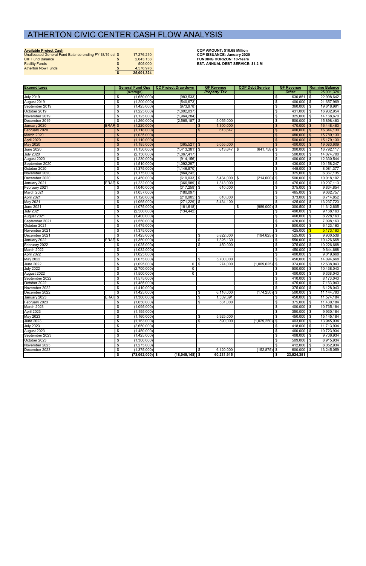| <b>Available Project Cash</b>                           |            | <b>COP AMOUNT: \$10.65 Million</b> |
|---------------------------------------------------------|------------|------------------------------------|
| Unallocated General Fund Balance-ending FY 18/19 est \$ | 17.276.210 | <b>COP ISSUANCE: January 2020</b>  |
| <b>CIP Fund Balance</b>                                 | 2.643.138  | <b>FUNDING HORIZON: 10-Years</b>   |
| <b>Facility Funds</b>                                   | 505.000    | <b>EST. ANNUAL DEBT SERVICE</b>    |
| <b>Atherton Now Funds</b>                               | 4.576.976  |                                    |
|                                                         | 25,001,324 |                                    |

**COP AMOUNT: \$10.65 Million EST. ANNUAL DEBT SERVICE: \$1.2 M** 

| <b>Expenditures</b> |                    |     |                   | <b>General Fund Ops   CC Project Drawdown</b> |      | <b>GF Revenue</b>   | <b>COP Debt Service</b> |                           | <b>GF Revenue</b> |                | <b>Running Balance</b> |
|---------------------|--------------------|-----|-------------------|-----------------------------------------------|------|---------------------|-------------------------|---------------------------|-------------------|----------------|------------------------|
|                     |                    |     | (average)         |                                               |      | <b>Property Tax</b> |                         |                           | <b>Other</b>      | \$             | 25,001,324             |
| <b>July 2019</b>    |                    | \$  | (1,650,000)       | (983, 533)                                    |      |                     |                         | - \$                      | 630,851           | $\blacksquare$ | 22,998,642             |
| August 2019         |                    | \$  | (1,200,000)       | (540, 673)                                    |      |                     |                         | \$                        | 400,000 \$        |                | 21,657,969             |
| September 2019      |                    | \$  | (1,425,000)       | (973, 978)                                    |      |                     |                         | \$                        | $360,000$ \$      |                | 19,618,991             |
| October 2019        |                    | \$  | (1,225,000)       | (1,892,037)                                   |      |                     |                         | \$                        | 431,000 \$        |                | 16,932,954             |
| November 2019       |                    | \$  | (1, 125, 000)     | (1,964,284)                                   |      |                     |                         | \$                        | $325,000$ \$      |                | 14,168,670             |
| December 2019       |                    | \$  | (1,260,000)       | $(2,565,187)$ \$                              |      | 5,055,000           |                         | \$                        | $500,000$ \$      |                | 15,898,483             |
| January 2020        | ERAF <sup>S</sup>  |     | (1,220,000)       |                                               | \$   | 1,300,000           |                         | $\frac{1}{2}$             | $470,000$ \$      |                | 16,448,483             |
| February 2020       |                    | \$  | (1, 118, 000)     |                                               | \$   | 613,647             |                         | \$                        | $400,000$ \$      |                | 16,344,130             |
| March 2020          |                    | \$  | (1,035,000)       |                                               |      |                     |                         | \$                        | 480,000 \$        |                | 15,789,130             |
| April 2020          |                    | \$  | (1, 110, 000)     |                                               |      |                     |                         | $\boldsymbol{\mathsf{S}}$ | $500,000$ \$      |                | 15,179,130             |
| <b>May 2020</b>     |                    | \$  | (1, 185, 000)     | (365, 521)                                    | l \$ | 5,055,000           |                         | $\sqrt[6]{3}$             | $400,000$ \$      |                | 19,083,609             |
| <b>June 2020</b>    |                    | \$  | (1, 150, 000)     | $(1,413,381)$ \$                              |      | 613,647             | $(641, 758)$ \$<br>\$   |                           | $300,000$ \$      |                | 16,792,117             |
| <b>July 2020</b>    |                    | \$  | (2, 150, 000)     | (1,067,417)                                   |      |                     |                         | \$                        | $500,000$ \$      |                | 14,074,700             |
| August 2020         |                    | \$  | (1,230,000)       | (914, 156)                                    |      |                     |                         | \$                        | $400,000$ \$      |                | 12,330,544             |
| September 2020      |                    | \$  | (1,510,000)       | (1,092,297)                                   |      |                     |                         | \$                        | 430,000 \$        |                | 10,158,247             |
| October 2020        |                    | \$  | (1,375,000)       | (1, 146, 870)                                 |      |                     |                         | \$                        | 445,000 \$        |                | 8,081,377              |
| November 2020       |                    | \$  | (1, 175, 000)     | (864, 242)                                    |      |                     |                         | \$                        | $325,000$ \$      |                | 6,367,135              |
| December 2020       |                    | \$  | (1,450,000)       | $(619,033)$ \$                                |      | $5,434,000$ \$      | (214,000)               | l \$                      | $500,000$ \$      |                | 10,018,102             |
| January 2021        | ERAF               | \$  | (1,232,000)       | $(366,989)$ \$                                |      | 1,313,000           |                         | \$                        | 475,000 \$        |                | 10,207,113             |
| February 2021       |                    | \$  | (1,040,000)       | $(317, 259)$ \$                               |      | 610,000             |                         | \$                        | $375,000$ \$      |                | 9,834,854              |
| March 2021          |                    | \$  | (1,057,000)       | (180, 097)                                    |      |                     |                         | \$                        | 465,000 \$        |                | 9,062,757              |
| April 2021          |                    | \$  | (1, 120, 000)     | $(210,905)$ \$                                |      | 610,000             |                         | \$                        | 373,000 \$        |                | 8,714,852              |
| May 2021            |                    | \$  | (1,065,000)       | $(271, 229)$ \$                               |      | 5,434,100           |                         | \$                        | $425,000$ \$      |                | 13,237,723             |
| <b>June 2021</b>    |                    | \$  | (1,075,000)       | (161, 618)                                    |      |                     | (989,000)<br>\$         | -\$                       | $300,500$ \$      |                | 11,312,605             |
| <b>July 2021</b>    |                    | \$  | (2,500,000)       | (134, 442)                                    |      |                     |                         | \$                        | $490,000$ \$      |                | 9,168,163              |
| August 2021         |                    | \$  | (1,400,000)       |                                               |      |                     |                         | \$                        | 460,000 \$        |                | 8,228,163              |
| September 2021      |                    | \$  | (1,550,000)       |                                               |      |                     |                         | \$                        | $420,000$ \$      |                | 7,098,163              |
| October 2021        |                    | \$  | (1,475,000)       |                                               |      |                     |                         | \$                        | $500,000$ \$      |                | 6,123,163              |
| November 2021       |                    | \$  | (1,375,000)       |                                               |      |                     |                         | \$                        | 425,000           | \$             | 5,173,163              |
| December 2021       |                    | -\$ | (1,425,000)       |                                               | \$   | 5,822,000           | (194, 625)              | \$                        | $525,000$ \$      |                | 9,900,538              |
| January 2022        | ERAF <sub>\$</sub> |     | (1,350,000)       |                                               | \$   | 1,326,130           |                         | \$                        | $550,000$ \$      |                | 10,426,668             |
| February 2022       |                    | \$  | (1,025,000)       |                                               | \$   | 450,000             |                         | \$                        | $375,000$ \$      |                | 10,226,668             |
| March 2022          |                    | \$  | (1,032,000)       |                                               |      |                     |                         | \$                        | 450,000 \$        |                | 9,644,668              |
| April 2022          |                    | \$  | (1,025,000)       |                                               |      |                     |                         | -\$                       | $400,000$ \$      |                | 9,019,668              |
| May 2022            |                    | \$  | (1,075,000)       |                                               | \$   | 5,700,000           |                         | \$                        | $450,000$ \$      |                | 14,094,668             |
| <b>June 2022</b>    |                    | \$  | (1,095,000)       | 0                                             | l \$ | 274,000             | (1,009,625)             | -\$                       | 374,000 \$        |                | 12,638,043             |
| <b>July 2022</b>    |                    | \$  | (2,700,000)       | 0                                             |      |                     |                         | \$                        | $500,000$ \$      |                | 10,438,043             |
| August 2022         |                    | \$  | (1,500,000)       | $\overline{0}$                                |      |                     |                         | -\$                       | $400,000$ \$      |                | 9,338,043              |
| September 2022      |                    | \$  | (1,575,000)       |                                               |      |                     |                         | \$                        | $410,000$ \$      |                | 8,173,043              |
| October 2022        |                    | \$  | (1,485,000)       |                                               |      |                     |                         | \$                        | 475,000 \$        |                | 7,163,043              |
| November 2022       |                    | \$  | (1,410,000)       |                                               |      |                     |                         | -\$                       | $375,000$ \$      |                | 6,128,043              |
| December 2022       |                    | S,  | (1.425.000)       |                                               | -\$  | 6.116.000           | $(174.250)$ \$          |                           | $500.000$ \$      |                | 11.144.793             |
| January 2023        | ERAF <sup>\$</sup> |     | (1,360,000)       |                                               | \$   | 1,339,391           |                         | \$                        | 450,000 \$        |                | 11,574,184             |
| February 2023       |                    | \$  | (1,050,000)       |                                               | \$   | 531,000             |                         | \$                        | $375,000$ \$      |                | 11,430,184             |
| March 2023          |                    | \$  | (1,095,000)       |                                               |      |                     |                         | \$                        | $400,000$ \$      |                | 10,735,184             |
| April 2023          |                    | \$  | (1, 155, 000)     |                                               |      |                     |                         | \$                        | $350,000$ \$      |                | 9,930,184              |
| May 2023            |                    | \$  | (1, 160, 000)     |                                               | \$   | 5,925,000           |                         | \$                        | $450,000$ \$      |                | 15, 145, 184           |
| <b>June 2023</b>    |                    | \$  | (1, 163, 000)     |                                               | \$   | 590,000             | $(1,029,250)$ \$        |                           | 403,000 \$        |                | 13,945,934             |
| <b>July 2023</b>    |                    | \$  | (2,650,000)       |                                               |      |                     |                         | \$                        | $418,000$ \$      |                | 11,713,934             |
| August 2023         |                    | \$  | (1,450,000)       |                                               |      |                     |                         | \$                        | $460,000$ \$      |                | 10,723,934             |
| September 2023      |                    | \$  | (1,425,000)       |                                               |      |                     |                         | \$                        | 408,000 \$        |                | 9,706,934              |
| October 2023        |                    | \$  | (1,300,000)       |                                               |      |                     |                         | \$                        | $509,000$ \$      |                | 8,915,934              |
| November 2023       |                    | \$  | (1,275,000)       |                                               |      |                     |                         | \$                        | $412,000$ \$      |                | 8,052,934              |
| December 2023       |                    | \$  | (1,375,000)       |                                               | \$   | 6,120,000           | $(152, 875)$ \$         |                           | $600,000$ \$      |                | 13,245,059             |
|                     |                    | \$  | $(73,062,000)$ \$ | $(18,045,148)$ \$                             |      | 60,231,915          |                         | \$                        | 23,524,351        |                |                        |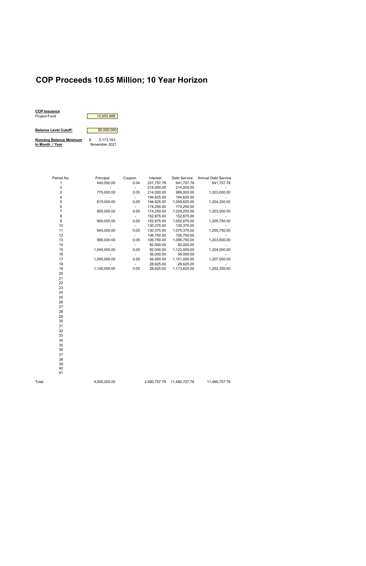### **COP Proceeds 10.65 Million; 10 Year Horizon**



Period No. Principal Coupon Interest Debt Service Annual Debt Service 1 440,000.00 0.04 201,757.78 641,757.78 641,757.78 2 - - 214,000.00 214,000.00 - 3 775,000.00 0.05 214,000.00 989,000.00 1,203,000.00 4 - - 194,625.00 194,625.00 - 5 815,000.00 0.05 194,625.00 1,009,625.00 1,204,250.00 6 - - - - - - 174,250.00 174,250.00<br>7 - - - - 855,000.00 - 0.05 174,250.00 1,029,250.00 1,203,500.00 7 855,000.00 0.05 174,250.00 1,029,250.00 1,203,500.00 8 - 152,875.00 152,875.00 152,875.00 - 900,000.00 - 0.05 152,875.00 1,052,875.00 1,205,750.00 9 900,000.00 0.05 152,875.00 1,052,875.00 10 - - 130,375.00 130,375.00<br>11 945,000.00 0.05 130,375.00 1,075,375.00 1,205,750.00 11 945,000.00 0.05 130,375.00 1,075,375.00 12 - - 106,750.00 106,750.00<br>13 990,000.00 0.05 106,750.00 1,096,750.00 13 990,000.00 0.05 106,750.00 1,096,750.00 1,203,500.00 14 - - 82,000.00 82,000.00<br>15 1,040,000.00 0.05 82,000.00 1,122,000.00 15 1,040,000.00 0.05 82,000.00 1,122,000.00 1,204,000.00 16 - 56,000.00 17 1,095,000.00 0.05 56,000.00 1,151,000.00 1,207,000.00 18 - - 28,625.00 28,625.00 - 19 1,145,000.00 0.05 28,625.00 1,173,625.00 1,202,250.00 20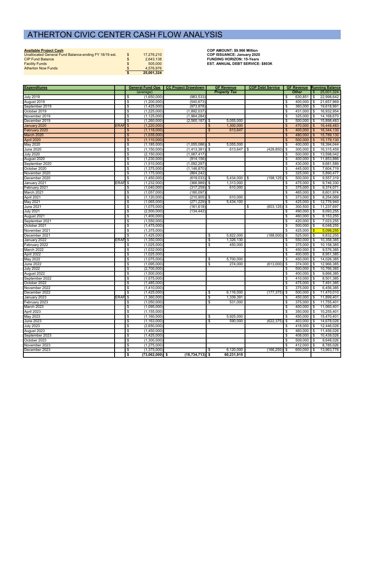|  | Available Project Cash |  |
|--|------------------------|--|
|  |                        |  |

| Unallocated General Fund Balance-ending FY 18/19 est. | \$<br>17.276.210 | <b>COP ISSUANCE: January 2020</b>       |
|-------------------------------------------------------|------------------|-----------------------------------------|
| <b>CIP Fund Balance</b>                               | 2.643.138        | <b>FUNDING HORIZON: 15-Years</b>        |
| <b>Facility Funds</b>                                 | 505,000          | <b>EST. ANNUAL DEBT SERVICE: \$803K</b> |
| <b>Atherton Now Funds</b>                             | 4.576.976        |                                         |
|                                                       | 25,001,324       |                                         |

COP AMOUNT: \$9.966 Million

| <b>Expenditures</b> |                    |                                                         | General Fund Ops   CC Project Drawdown |     | <b>GF Revenue</b>   | <b>COP Debt Service</b> |                |              |               | <b>GF Revenue Running Balance</b> |
|---------------------|--------------------|---------------------------------------------------------|----------------------------------------|-----|---------------------|-------------------------|----------------|--------------|---------------|-----------------------------------|
|                     |                    | (average)                                               |                                        |     | <b>Property Tax</b> |                         |                | <b>Other</b> | $\sqrt[6]{3}$ | 25,001,324                        |
| <b>July 2019</b>    |                    | (1,650,000)<br>\$                                       | (983, 533)                             |     |                     |                         | \$             | 630,851      | \$            | 22,998,642                        |
| August 2019         |                    | (1,200,000)<br>\$                                       | (540, 673)                             |     |                     |                         | \$             | 400,000      | l \$          | 21,657,969                        |
| September 2019      |                    | \$<br>(1,425,000)                                       | (973, 978)                             |     |                     |                         | \$             | 360,000      | <b>S</b>      | 19,618,991                        |
| October 2019        |                    | (1,225,000)<br>\$                                       | (1,892,037)                            |     |                     |                         | \$             | 431,000 \$   |               | 16,932,954                        |
| November 2019       |                    | \$<br>(1, 125, 000)                                     | (1,964,284)                            |     |                     |                         | \$             | 325,000      | <b>S</b>      | 14,168,670                        |
| December 2019       |                    | \$<br>(1,260,000)                                       | $(2, 565, 187)$ \$                     |     | 5,055,000           |                         | \$             | $500,000$ \$ |               | 15,898,483                        |
| January 2020        | ERAF <sup>S</sup>  | (1,220,000)                                             |                                        | S   | 1,300,000           |                         | \$             | 470,000      | <b>S</b>      | 16,448,483                        |
| February 2020       |                    | (1, 118, 000)<br>\$                                     |                                        | \$  | 613,647             |                         | \$             | 400,000      | \$            | 16,344,130                        |
| March 2020          |                    | (1,035,000)<br>$\frac{3}{2}$                            |                                        |     |                     |                         | $\mathfrak{S}$ | 480,000      | $\sqrt[6]{3}$ | 15,789,130                        |
| April 2020          |                    | $\frac{3}{2}$<br>(1, 110, 000)                          |                                        |     |                     |                         | \$             | 500,000      | -\$           | 15,179,130                        |
| May 2020            |                    | (1, 185, 000)<br>\$                                     | $(1,055,086)$ \$                       |     | 5,055,000           |                         | \$             | 400,000      | <b>S</b>      | 18,394,044                        |
| June 2020           |                    | \$<br>(1, 150, 000)                                     | $(1,413,381)$ \$                       |     | 613,647             | (428, 850)<br>-\$       | \$             | 300,000      | \$            | 16,315,459                        |
| <b>July 2020</b>    |                    | (2, 150, 000)<br>\$                                     | (1,067,417)                            |     |                     |                         | \$             | 500,000      | <b>S</b>      | 13,598,042                        |
| August 2020         |                    | \$<br>(1,230,000)                                       | (914, 156)                             |     |                     |                         | \$             | 400,000      | l \$          | 11,853,886                        |
| September 2020      |                    | \$<br>(1,510,000)                                       | (1,092,297)                            |     |                     |                         | \$             | 430,000      | l \$          | 9,681,589                         |
| October 2020        |                    | (1,375,000)<br>\$                                       | (1, 146, 870)                          |     |                     |                         | \$             | $445,000$ \$ |               | 7,604,719                         |
| November 2020       |                    | \$<br>(1, 175, 000)                                     | (864, 242)                             |     |                     |                         | \$             | 325,000      | l \$          | 5,890,477                         |
| December 2020       |                    | \$<br>(1,450,000)                                       | $(619,033)$ \$                         |     | 5,434,000           | (198, 125)<br>  \$      | \$             | 500,000      | l \$          | 9,557,319                         |
| January 2021        | ERAF \$            | (1,232,000)                                             | $(366,989)$ \$                         |     | 1,313,000           |                         | \$             | 475,000      | l \$          | 9,746,330                         |
| February 2021       |                    | (1,040,000)<br>\$                                       | $(317, 259)$ \$                        |     | 610.000             |                         | \$             | $375,000$ \$ |               | 9,374,071                         |
| March 2021          |                    | \$<br>(1,057,000)                                       | (180, 097)                             |     |                     |                         | \$             | 465,000 \$   |               | 8,601,974                         |
| April 2021          |                    | \$<br>(1, 120, 000)                                     | $(210, 905)$ \$                        |     | 610,000             |                         | \$             | 373,000      | <b>S</b>      | 8,254,069                         |
| May 2021            |                    | \$<br>(1,065,000)                                       | $(271, 229)$ \$                        |     | 5,434,100           |                         | \$             | 425,000      | l \$          | 12,776,940                        |
| June 2021           |                    | \$<br>(1,075,000)                                       | (161, 618)                             |     |                     | \$<br>(603, 125)        | \$             | 300,500      | <b>S</b>      | 11,237,697                        |
| <b>July 2021</b>    |                    | \$<br>(2,500,000)                                       | (134, 442)                             |     |                     |                         | \$             | 490,000 \$   |               | 9,093,255                         |
| August 2021         |                    | \$<br>(1,400,000)                                       |                                        |     |                     |                         | \$             | 460,000      | <b>\$</b>     | 8,153,255                         |
| September 2021      |                    | (1,550,000)<br>\$                                       |                                        |     |                     |                         | \$             | 420,000      | l \$          | 7,023,255                         |
| October 2021        |                    | \$<br>(1,475,000)                                       |                                        |     |                     |                         | \$             | $500,000$ \$ |               | 6,048,255                         |
| November 2021       |                    | \$<br>(1,375,000)                                       |                                        |     |                     |                         | \$             | 425,000      | -\$           | 5,098,255                         |
| December 2021       |                    | \$<br>(1,425,000)                                       |                                        | -\$ | 5,822,000           | (188,000)               | \$             | 525,000      | l \$          | 9,832,255                         |
| January 2022        | ERAF <sup>\$</sup> | (1,350,000)                                             |                                        | \$  | 1,326,130           |                         | \$             | 550,000      | l \$          | 10,358,385                        |
| February 2022       |                    | \$<br>(1,025,000)                                       |                                        | \$  | 450,000             |                         | \$             | $375,000$ \$ |               | 10,158,385                        |
| March 2022          |                    | \$<br>(1,032,000)                                       |                                        |     |                     |                         | \$             | 450,000      | <b>S</b>      | 9,576,385                         |
| April 2022          |                    | (1,025,000)<br>-\$                                      |                                        |     |                     |                         | \$             | 400,000      | l \$          | 8,951,385                         |
| May 2022            |                    | \$<br>(1,075,000)                                       |                                        | \$  | 5,700,000           |                         | \$             | 450,000      | <b>\$</b>     | 14,026,385                        |
| <b>June 2022</b>    |                    | (1,095,000)<br>\$                                       |                                        | \$  | 274,000             | (613,000)               | \$             | 374,000      | l \$          | 12,966,385                        |
| <b>July 2022</b>    |                    | \$<br>(2,700,000)                                       |                                        |     |                     |                         | \$             | 500,000      | <b>\$</b>     | 10,766,385                        |
| August 2022         |                    | (1,500,000)<br>\$                                       |                                        |     |                     |                         | \$             | 400,000      | l \$          | 9,666,385                         |
| September 2022      |                    | \$<br>(1,575,000)                                       |                                        |     |                     |                         | \$             | $410,000$ \$ |               | 8,501,385                         |
| October 2022        |                    | \$<br>(1,485,000)                                       |                                        |     |                     |                         | \$             | 475,000      | l \$          | 7,491,385                         |
| November 2022       |                    | -\$<br>(1,410,000)                                      |                                        |     |                     |                         | \$             | $375,000$ \$ |               | 6,456,385                         |
| December 2022       |                    | \$<br>(1,425,000)                                       |                                        | \$  | 6.116.000           | (177, 375)              | s,             | 500,000 \$   |               | 11,470,010                        |
| January 2023        | ERAF <sub>\$</sub> | (1,360,000)                                             |                                        | \$  | 1,339,391           |                         | \$             | 450,000 \$   |               | 11,899,401                        |
| February 2023       |                    | \$<br>(1,050,000)                                       |                                        | \$  | 531,000             |                         | \$             | 375,000      | <b>\$</b>     | 11,755,401                        |
| March 2023          |                    | \$<br>(1,095,000)                                       |                                        |     |                     |                         | \$             | $400,000$ \$ |               | 11,060,401                        |
| April 2023          |                    | $\overline{\boldsymbol{\mathfrak{s}}}$<br>(1, 155, 000) |                                        |     |                     |                         | \$             | $350,000$ \$ |               | 10,255,401                        |
| May 2023            |                    | \$<br>(1,160,000)                                       |                                        | \$  | 5,925,000           |                         | \$             | 450,000 \$   |               | 15,470,401                        |
| June 2023           |                    | \$<br>(1, 163, 000)                                     |                                        | \$  | 590,000             | (622, 375)              | \$             | $403,000$ \$ |               | 14,678,026                        |
| <b>July 2023</b>    |                    | \$<br>(2,650,000)                                       |                                        |     |                     |                         | \$             | 418,000      | <b>\$</b>     | 12,446,026                        |
| August 2023         |                    | $\overline{\boldsymbol{\mathfrak{s}}}$<br>(1,450,000)   |                                        |     |                     |                         | \$             | 460,000 \$   |               | 11,456,026                        |
| September 2023      |                    | \$<br>(1,425,000)                                       |                                        |     |                     |                         | \$             | 408,000      | $\sqrt{3}$    | 10,439,026                        |
| October 2023        |                    | \$<br>(1,300,000)                                       |                                        |     |                     |                         | \$             | 509,000      | <b>S</b>      | 9,648,026                         |
| November 2023       |                    | \$<br>(1,275,000)                                       |                                        |     |                     |                         | \$             | $412,000$ \$ |               | 8,785,026                         |
| December 2023       |                    | \$<br>(1,375,000)                                       |                                        | \$  | 6,120,000           | $(166, 250)$ \$         |                | 600,000      | l \$          | 13,963,776                        |
|                     |                    | \$<br>$(73,062,000)$ \$                                 | $(18, 734, 713)$ \$                    |     | 60,231,915          |                         |                |              |               |                                   |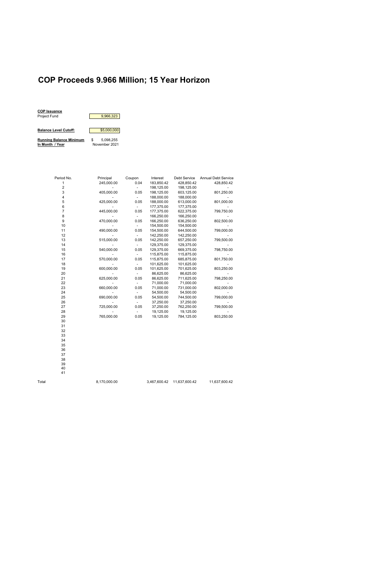### **COP Proceeds 9.966 Million; 15 Year Horizon**

Period No. Principal Coupon Interest Debt Service Annual Debt Service 1 245,000.00 0.04 183,850.42 428,850.42 428,850.42 2 - - 198,125.00 198,125.00 - 3 405,000.00 0.05 198,125.00 603,125.00 801,250.00 4 - - 188,000.00 188,000.00 - 5 425,000.00 0.05 188,000.00 613,000.00 801,000.00 6 - - 177,375.00 177,375.00<br>7 445,000.00 0.05 177,375.00 622,375.00 799,750.00 7 445,000.00 0.05 177,375.00 622,375.00 8 - - 166,250.00 166,250.00<br>9 - 470,000.00 0.05 166,250.00 636,250.00 802,500.00 9 470,000.00 0.05 166,250.00 636,250.00 10 - - 154,500.00 154,500.00<br>11 - 490,000.00 0.05 154,500.00 644,500.00 799,000.00 11 490,000.00 0.05 154,500.00 644,500.00 799,000.00 12 - 142,250.00 13<br>
515,000.00 0.05 142,250.00 657,250.00 13 515,000.00 0.05 142,250.00 657,250.00 799,500.00 14 - 129,375.00 129,375.00<br>15 - 129,375.00 540,000.00 0.05 129,375.00 669,375.00 15 540,000.00 0.05 129,375.00 669,375.00 798,750.00 16 - - 115,875.00 115,875.00 - 17 570,000.00 0.05 115,875.00 685,875.00 18 - - 101,625.00 101,625.00 - 19 600,000.00 0.05 101,625.00 701,625.00 803,250.00 20 - - 86,625.00 86,625.00 - 21 625,000.00 0.05 86,625.00 711,625.00 22 - - 71,000.00 71,000.00 - 23 660,000.00 0.05 71,000.00 731,000.00 802,000.00 24 - 25 - 54,500.00 54,500.00 54,500.00 - 54,500.00 54,500.00 - 54,500.00 54,500.00 54,500.00 54,500.00 54,500 690,000.00 26 - - - 37,250.00 37,250.00<br>27 - 725,000.00 0.05 37,250.00 762,250.00 799,500.00 27 725,000.00 0.05 37,250.00 28 - - 19,125.00 19,125.00 - 765,000.00



30 31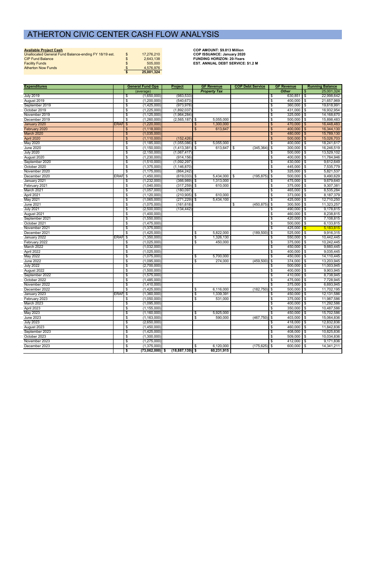|  |  |  | Available Project Cash |
|--|--|--|------------------------|
|  |  |  |                        |

**Available Project Cash COP AMOUNT: \$9.813 Million** *\$ -*

| Unallocated General Fund Balance-ending FY 18/19 est. | 17.276.210 | <b>COP ISSUANCE: January 2020</b>        |
|-------------------------------------------------------|------------|------------------------------------------|
| <b>CIP Fund Balance</b>                               | 2.643.138  | <b>FUNDING HORIZON: 20-Years</b>         |
| <b>Facility Funds</b>                                 | 505,000    | <b>EST. ANNUAL DEBT SERVICE: \$1.2 M</b> |
| <b>Atherton Now Funds</b>                             | 4.576.976  |                                          |
|                                                       | 25,001,324 |                                          |

| <b>Expenditures</b>         |                      | <b>General Fund Ops</b>                      | <b>Project</b>    |                | <b>GF Revenue</b>    | <b>COP Debt Service</b> |                             | <b>GF Revenue</b>            |                | <b>Running Balance</b>   |
|-----------------------------|----------------------|----------------------------------------------|-------------------|----------------|----------------------|-------------------------|-----------------------------|------------------------------|----------------|--------------------------|
|                             |                      | (average)                                    |                   |                | <b>Property Tax</b>  |                         |                             | <b>Other</b>                 |                | 25,001,324               |
| <b>July 2019</b>            |                      | (1,650,000)<br>\$                            | (983, 533)        |                |                      |                         | \$                          | 630,851                      | \$             | 22,998,642               |
| August 2019                 |                      | (1,200,000)<br>\$                            | (540, 673)        |                |                      |                         | \$                          | 400,000                      | \$             | 21,657,969               |
| September 2019              |                      | \$<br>(1,425,000)                            | (973, 978)        |                |                      |                         | \$                          | 360,000                      | \$             | 19,618,991               |
| October 2019                |                      | \$<br>(1,225,000)                            | (1,892,037)       |                |                      |                         | \$                          | 431,000                      | \$             | 16,932,954               |
| November 2019               |                      | \$<br>(1, 125, 000)                          | (1,964,284)       |                |                      |                         | \$                          | 325,000                      | \$             | 14,168,670               |
| December 2019               |                      | \$<br>(1,260,000)                            | $(2,565,187)$ \$  |                | 5,055,000            |                         | \$                          | 500,000                      | \$             | 15,898,483               |
| January 2020                | ERAF <sup>S</sup>    | (1,220,000)                                  |                   | \$             | 1,300,000            |                         | \$                          | 470,000                      | \$             | 16,448,483               |
| February 2020               |                      | $\mathfrak{S}$<br>(1, 118, 000)              |                   | $\mathfrak{F}$ | 613,647              |                         | $\boldsymbol{\mathsf{S}}$   | 400,000                      | $\mathfrak{S}$ | 16,344,130               |
| March 2020                  |                      | $\frac{1}{2}$<br>(1,035,000)                 |                   |                |                      |                         | \$                          | 480,000                      | $\mathfrak{S}$ | 15,789,130               |
| April 2020                  |                      | (1, 110, 000)<br>$\frac{3}{2}$               | (152, 426)        |                |                      |                         | $\boldsymbol{\mathsf{S}}$   | 500,000                      | $\frac{1}{2}$  | 15,026,703               |
| May 2020                    |                      | \$<br>(1, 185, 000)                          | $(1,055,086)$ \$  |                | 5,055,000            |                         | \$                          | 400,000                      | \$             | 18,241,617               |
| <b>June 2020</b>            |                      | \$<br>(1, 150, 000)                          | $(1,413,381)$ \$  |                | 613,647              | (345, 364)<br>I \$      | -\$                         | 300,000                      | \$             | 16,246,519               |
| <b>July 2020</b>            |                      | \$<br>(2, 150, 000)                          | (1,067,417)       |                |                      |                         | \$                          | 500,000                      | \$             | 13,529,102               |
| August 2020                 |                      | \$<br>(1,230,000)                            | (914, 156)        |                |                      |                         | \$                          | 400,000                      | \$             | 11,784,946               |
| September 2020              |                      | \$<br>(1,510,000)                            | (1,092,297)       |                |                      |                         | \$                          | 430,000                      | \$             | 9,612,649                |
| October 2020                |                      | \$<br>(1,375,000)                            | (1, 146, 870)     |                |                      |                         | \$                          | 445,000                      | \$             | 7,535,779                |
| November 2020               |                      | \$<br>(1, 175, 000)                          | (864, 242)        |                |                      |                         | \$                          | 325,000                      | \$             | 5,821,537                |
| December 2020               | ERAF <sup>\$</sup>   | (1,450,000)                                  | $(619,033)$ \$    |                | 5,434,000            | (195, 875)<br><b>\$</b> | l \$                        | 500,000                      | \$             | 9,490,629                |
| January 2021                |                      | \$<br>(1,232,000)                            | $(366,989)$ \$    |                | 1,313,000            |                         | \$                          | 475,000                      | \$             | 9,679,640                |
| February 2021               |                      | \$<br>(1,040,000)                            | $(317, 259)$ \$   |                | 610,000              |                         | \$                          | 375,000                      | \$             | 9,307,381                |
| March 2021                  |                      | \$<br>(1,057,000)                            | (180, 097)        |                |                      |                         | \$                          | 465,000                      | \$             | 8,535,284                |
| April 2021                  |                      | \$<br>(1, 120, 000)                          | $(210, 905)$ \$   |                | 610,000              |                         | \$                          | 373,000                      | \$             | 8,187,379                |
| May 2021                    |                      | \$<br>(1,065,000)                            | $(271, 229)$ \$   |                | 5,434,100            |                         | \$                          | 425,000                      | \$             | 12,710,250               |
| June 2021                   |                      | \$<br>(1,075,000)                            | (161, 618)        |                |                      | (450, 875)<br>\$        | \$                          | 300,500                      | \$             | 11,323,257               |
| <b>July 2021</b>            |                      | \$<br>(2,500,000)                            | (134, 442)        |                |                      |                         | \$                          | 490,000                      | \$             | 9,178,815                |
| August 2021                 |                      | \$<br>(1,400,000)                            |                   |                |                      |                         | \$                          | 460,000                      | \$             | 8,238,815                |
| September 2021              |                      | \$<br>(1,550,000)                            |                   |                |                      |                         | \$                          | 420,000                      | \$             | 7,108,815                |
| October 2021                |                      | \$<br>(1,475,000)                            |                   |                |                      |                         | \$                          | 500,000                      | \$             | 6,133,815                |
| November 2021               |                      | \$<br>(1,375,000)                            |                   |                |                      |                         | \$                          | 425,000                      | $\sqrt[3]{3}$  | 5,183,815                |
| December 2021               |                      | \$<br>(1,425,000)                            |                   | \$             | 5,822,000            | (189, 500)              | \$                          | 525,000                      | \$             | 9,916,315                |
| January 2022                | ERAF <sup>\$</sup>   | (1,350,000)                                  |                   | \$             | 1,326,130            |                         | \$                          | 550,000                      | \$             | 10,442,445               |
| February 2022               |                      | \$<br>(1,025,000)                            |                   | \$             | 450,000              |                         | \$                          | 375,000                      | \$             | 10,242,445               |
| March 2022                  |                      | (1,032,000)                                  |                   |                |                      |                         | \$                          | 450,000                      | \$             | 9,660,445                |
| April 2022                  |                      | \$<br>\$<br>(1,025,000)                      |                   |                |                      |                         | \$                          | 400,000                      | \$             | 9,035,445                |
| May 2022                    |                      | (1,075,000)<br>\$                            |                   | \$             | 5,700,000            |                         | \$                          | 450,000                      | \$             | 14,110,445               |
| <b>June 2022</b>            |                      | \$<br>(1,095,000)                            |                   | \$             | 274,000              | (459, 500)              | -\$                         | 374,000                      | \$             | 13,203,945               |
| <b>July 2022</b>            |                      | \$<br>(2,700,000)                            |                   |                |                      |                         | \$                          | 500,000                      | \$             | 11,003,945               |
| August 2022                 |                      | \$<br>(1,500,000)                            |                   |                |                      |                         | \$                          | 400,000                      | \$             | 9,903,945                |
| September 2022              |                      | \$                                           |                   |                |                      |                         | \$                          | 410,000                      | \$             | 8,738,945                |
| October 2022                |                      | (1,575,000)<br>\$<br>(1,485,000)             |                   |                |                      |                         | \$                          | 475,000                      | \$             | 7,728,945                |
| November 2022               |                      | $\boldsymbol{\mathsf{s}}$<br>(1,410,000)     |                   |                |                      |                         | \$                          | 375,000                      | \$             | 6,693,945                |
| December 2022               |                      | $\boldsymbol{\mathsf{s}}$<br>(1,425,000)     |                   | \$             | 6,116,000            | (182, 750)              | l \$                        | 500,000                      | \$             | 11,702,195               |
|                             |                      |                                              |                   |                |                      |                         |                             |                              |                |                          |
| January 2023                | ERAF <sub>I</sub> \$ | (1,360,000)<br>\$<br>(1,050,000)             |                   | \$<br>\$       | 1,339,391<br>531,000 |                         | \$<br>$\boldsymbol{\theta}$ | $450,000$ \$<br>$375,000$ \$ |                | 12,131,586<br>11,987,586 |
| February 2023<br>March 2023 |                      | (1,095,000)<br>\$                            |                   |                |                      |                         | \$                          | $400,000$ \$                 |                | 11,292,586               |
| April 2023                  |                      |                                              |                   |                |                      |                         | \$                          | 350,000                      |                |                          |
| May 2023                    |                      | \$<br>(1, 155, 000)<br>(1,160,000)           |                   |                | 5,925,000            |                         | \$                          | 450,000                      | -\$            | 10,487,586<br>15,702,586 |
| <b>June 2023</b>            |                      | \$<br>\$<br>(1, 163, 000)                    |                   | \$<br>\$       | 590,000              | (467, 750)              | <b>S</b>                    | 403,000                      | -\$            | 15,064,836               |
| <b>July 2023</b>            |                      | \$<br>(2,650,000)                            |                   |                |                      |                         | \$                          | 418,000                      | \$             | 12,832,836               |
|                             |                      |                                              |                   |                |                      |                         |                             |                              | \$             |                          |
| August 2023                 |                      | (1,450,000)<br>\$                            |                   |                |                      |                         | \$                          | 460,000                      | \$             | 11,842,836               |
| September 2023              |                      | \$<br>(1,425,000)                            |                   |                |                      |                         | \$                          | 408,000                      | \$             | 10,825,836               |
| October 2023                |                      | (1,300,000)<br>\$                            |                   |                |                      |                         | \$                          | 509,000                      | \$             | 10,034,836               |
| November 2023               |                      | \$<br>(1,275,000)                            |                   |                |                      |                         | \$                          | 412,000                      | \$             | 9,171,836                |
| December 2023               |                      | $\boldsymbol{\theta}$<br>(1,375,000)         |                   | \$             | 6,120,000            | (175, 625)              | \$                          | 600,000                      | \$             | 14,341,211               |
|                             |                      | $\overline{\mathbf{3}}$<br>$(73,062,000)$ \$ | $(18,887,139)$ \$ |                | 60,231,915           |                         |                             |                              |                |                          |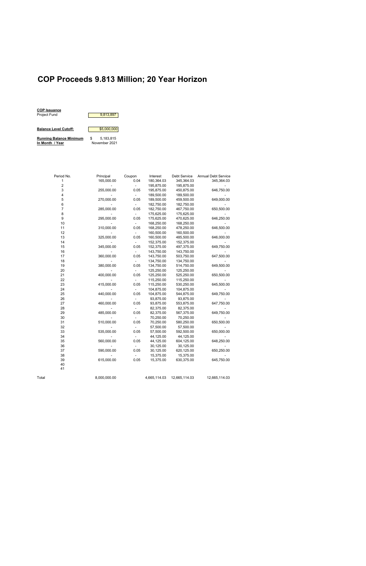# **COP Proceeds 9.813 Million; 20 Year Horizon**



| Period No.     | Principal    | Coupon         | Interest     | <b>Debt Service</b> | <b>Annual Debt Service</b> |
|----------------|--------------|----------------|--------------|---------------------|----------------------------|
| $\mathbf{1}$   | 165,000.00   | 0.04           | 180,364.03   | 345,364.03          | 345,364.03                 |
| 2              |              | $\overline{a}$ | 195,875.00   | 195,875.00          |                            |
| 3              | 255,000.00   | 0.05           | 195,875.00   | 450,875.00          | 646,750.00                 |
| 4              |              |                | 189,500.00   | 189,500.00          |                            |
| 5              | 270,000.00   | 0.05           | 189,500.00   | 459,500.00          | 649,000.00                 |
| 6              |              |                | 182,750.00   | 182,750.00          |                            |
| $\overline{7}$ | 285,000.00   | 0.05           | 182,750.00   | 467,750.00          | 650,500.00                 |
| 8              |              |                | 175,625.00   | 175,625.00          |                            |
| 9              | 295,000.00   | 0.05           | 175,625.00   | 470,625.00          | 646,250.00                 |
| 10             |              |                | 168,250.00   | 168,250.00          |                            |
| 11             | 310,000.00   | 0.05           | 168,250.00   | 478,250.00          | 646,500.00                 |
| 12             |              |                | 160,500.00   | 160,500.00          |                            |
| 13             | 325,000.00   | 0.05           | 160,500.00   | 485,500.00          | 646,000.00                 |
| 14             |              |                | 152,375.00   | 152,375.00          |                            |
| 15             | 345,000.00   | 0.05           | 152,375.00   | 497,375.00          | 649,750.00                 |
| 16             |              |                | 143,750.00   | 143,750.00          |                            |
| 17             | 360,000.00   | 0.05           | 143,750.00   | 503,750.00          | 647,500.00                 |
| 18             |              |                | 134,750.00   | 134,750.00          |                            |
| 19             | 380,000.00   | 0.05           | 134,750.00   | 514,750.00          | 649,500.00                 |
| 20             |              |                | 125,250.00   | 125,250.00          |                            |
| 21             | 400,000.00   | 0.05           | 125,250.00   | 525,250.00          | 650,500.00                 |
| 22             |              |                | 115,250.00   | 115,250.00          |                            |
| 23             | 415,000.00   | 0.05           | 115,250.00   | 530,250.00          | 645,500.00                 |
| 24             |              |                | 104,875.00   | 104,875.00          |                            |
| 25             | 440,000.00   | 0.05           | 104,875.00   | 544,875.00          | 649,750.00                 |
| 26             |              |                | 93,875.00    | 93,875.00           |                            |
| 27             | 460,000.00   | 0.05           | 93,875.00    | 553,875.00          | 647,750.00                 |
| 28             |              |                | 82,375.00    | 82,375.00           |                            |
| 29             | 485,000.00   | 0.05           | 82,375.00    | 567,375.00          | 649,750.00                 |
| 30             |              |                | 70,250.00    | 70,250.00           |                            |
| 31             | 510,000.00   | 0.05           | 70,250.00    | 580,250.00          | 650,500.00                 |
| 32             |              |                | 57,500.00    | 57,500.00           |                            |
| 33             | 535,000.00   | 0.05           | 57,500.00    | 592,500.00          | 650,000.00                 |
| 34             |              |                | 44,125.00    | 44,125.00           |                            |
| 35             | 560,000.00   | 0.05           | 44,125.00    | 604,125.00          | 648,250.00                 |
| 36             |              |                | 30,125.00    | 30,125.00           |                            |
| 37             | 590,000.00   | 0.05           | 30,125.00    | 620,125.00          | 650,250.00                 |
| 38             |              |                | 15,375.00    | 15,375.00           |                            |
| 39             | 615,000.00   | 0.05           | 15,375.00    | 630,375.00          | 645,750.00                 |
| 40             |              |                |              |                     |                            |
| 41             |              |                |              |                     |                            |
| Total          | 8,000,000.00 |                | 4,665,114.03 | 12,665,114.03       | 12,665,114.03              |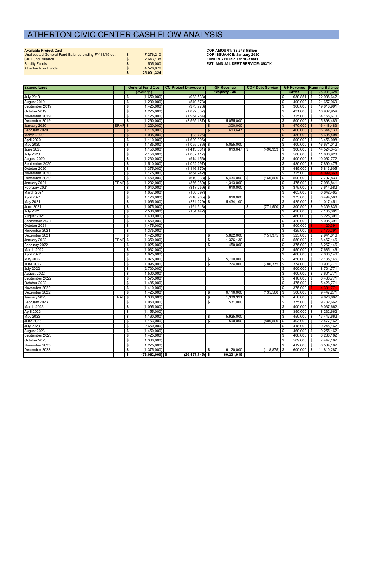| <b>Available Project Cash</b>                         |                  | <b>COP AMOUNT: \$8,243 Million</b>      |
|-------------------------------------------------------|------------------|-----------------------------------------|
| Unallocated General Fund Balance-ending FY 18/19 est. | \$<br>17.276.210 | <b>COP ISSUANCE: January 2020</b>       |
| <b>CIP Fund Balance</b>                               | 2.643.138        | <b>FUNDING HORIZON: 10-Years</b>        |
| <b>Facility Funds</b>                                 | 505,000          | <b>EST. ANNUAL DEBT SERVICE: \$937K</b> |
| <b>Atherton Now Funds</b>                             | 4.576.976        |                                         |
|                                                       | 25.001.324       |                                         |

| <b>Expenditures</b>           |                    |                                                                      | General Fund Ops   CC Project Drawdown |                          | <b>GF Revenue</b>   | <b>COP Debt Service</b> |                                  |                              |          | <b>GF Revenue Running Balance</b> |
|-------------------------------|--------------------|----------------------------------------------------------------------|----------------------------------------|--------------------------|---------------------|-------------------------|----------------------------------|------------------------------|----------|-----------------------------------|
|                               |                    | (average)                                                            |                                        |                          | <b>Property Tax</b> |                         |                                  | <b>Other</b>                 | \$       | 25,001,324                        |
| <b>July 2019</b>              |                    | (1,650,000)<br>\$                                                    | (983, 533)                             |                          |                     |                         | \$                               | 630,851                      | \$       | 22,998,642                        |
| August 2019                   |                    | $\overline{\boldsymbol{\mathfrak{s}}}$<br>(1,200,000)                | (540, 673)                             |                          |                     |                         | $\boldsymbol{\phi}$              | $400,000$ \$                 |          | 21,657,969                        |
| September 2019                |                    | \$<br>(1,425,000)                                                    | (973, 978)                             |                          |                     |                         | \$                               | $360,000$ \$                 |          | 19,618,991                        |
| October 2019                  |                    | $\sqrt[6]{\frac{2}{5}}$<br>(1,225,000)                               | (1,892,037)                            |                          |                     |                         | $\overline{\boldsymbol{\theta}}$ | $431,000$ \$                 |          | 16,932,954                        |
| November 2019                 |                    | \$<br>(1, 125, 000)                                                  | (1,964,284)                            |                          |                     |                         | \$                               | 325,000                      | l \$     | 14,168,670                        |
| December 2019                 |                    | $\overline{\mathcal{S}}$<br>(1,260,000)                              | (2, 565, 187)                          | \$                       | 5,055,000           |                         | \$                               | $500,000$ \$                 |          | 15,898,483                        |
| January 2020                  | ERAF <sup>\$</sup> | (1,220,000)                                                          |                                        | \$                       | 1,300,000           |                         | \$                               | 470,000                      | l \$     | 16,448,483                        |
| February 2020                 |                    | (1, 118, 000)<br>$\frac{3}{2}$                                       |                                        | $\frac{1}{2}$            | 613,647             |                         | $\frac{3}{2}$                    | $400,000$ \$                 |          | 16,344,130                        |
| March 2020                    |                    | $\boldsymbol{\theta}$<br>(1,035,000)                                 | (93, 726)                              |                          |                     |                         | \$                               | 480,000                      | <b>S</b> | 15,695,404                        |
| April 2020                    |                    | \$<br>(1, 110, 000)                                                  | (1,629,306)                            |                          |                     |                         | \$                               | $500,000$ \$                 |          | 13,456,098                        |
| May 2020                      |                    | $\overline{\boldsymbol{\mathfrak{s}}}$<br>(1, 185, 000)              | $(1,055,086)$ \$                       |                          | 5,055,000           |                         | \$                               | $400,000$ \$                 |          | 16,671,012                        |
| <b>June 2020</b>              |                    | \$<br>(1, 150, 000)                                                  | $(1,413,381)$ \$                       |                          | $613,647$ \$        | (496, 933)              | l \$                             | 300,000                      | \$       | 14,524,345                        |
| <b>July 2020</b>              |                    | \$<br>(2, 150, 000)                                                  | (1,067,417)                            |                          |                     |                         | \$                               | $500,000$ \$                 |          | 11,806,928                        |
| August 2020                   |                    | \$<br>(1,230,000)                                                    | (914, 156)                             |                          |                     |                         | \$                               | $400,000$ \$                 |          | 10,062,772                        |
| September 2020                |                    | \$<br>(1,510,000)                                                    | (1,092,297)                            |                          |                     |                         | \$                               | $430,000$ \$                 |          | 7,890,475                         |
| October 2020                  |                    | \$<br>(1,375,000)                                                    | (1, 146, 870)                          |                          |                     |                         | \$                               | 445,000 \$                   |          | 5,813,605                         |
| November 2020                 |                    | \$<br>(1, 175, 000)                                                  | (864, 242)                             |                          |                     |                         | \$                               | 325,000                      |          |                                   |
| December 2020                 |                    | $\overline{\mathcal{S}}$<br>(1,450,000)                              | $(619,033)$ \$                         |                          | 5,434,000 \$        | $(166, 500)$ \$         |                                  | $500,000$ \$                 |          | 7,797,830                         |
| January 2021                  | ERAF <sup>\$</sup> | (1,232,000)                                                          | $(366,989)$ \$                         |                          | 1,313,000           |                         | \$                               | 475,000 \$                   |          | 7,986,841                         |
| February 2021                 |                    | \$<br>(1,040,000)                                                    | (317, 259)                             | \$                       | 610,000             |                         | \$                               | $375,000$ \$                 |          | 7,614,582                         |
| March 2021                    |                    | \$<br>(1,057,000)                                                    | (180, 097)                             |                          |                     |                         | \$                               | $465,000$ \$                 |          | 6,842,485                         |
| April 2021                    |                    | $\overline{\boldsymbol{\phi}}$<br>(1, 120, 000)                      | $(210, 905)$ \$                        |                          | 610,000             |                         | \$                               | 373,000                      | \$       | 6,494,580<br>11,017,451           |
| May 2021<br><b>June 2021</b>  |                    | \$<br>(1,065,000)                                                    | (271, 229)                             | $\overline{\mathcal{E}}$ | 5,434,100           | (771, 500)              | \$                               | $425,000$ \$<br>$300,500$ \$ |          | 9,309,833                         |
| <b>July 2021</b>              |                    | (1,075,000)<br>\$                                                    | (161, 618)                             |                          |                     | \$                      | \$                               |                              |          | 7,165,391                         |
|                               |                    | $\overline{\boldsymbol{\mathfrak{s}}}$<br>(2,500,000)<br>(1,400,000) | (134, 442)                             |                          |                     |                         | \$                               | 490,000 \$<br>460,000 \$     |          | 6,225,391                         |
| August 2021<br>September 2021 |                    | \$<br>$\overline{\boldsymbol{\mathfrak{s}}}$<br>(1,550,000)          |                                        |                          |                     |                         | \$<br>\$                         | $420,000$ \$                 |          | 5,095,391                         |
| October 2021                  |                    | \$<br>(1,475,000)                                                    |                                        |                          |                     |                         | -\$                              | 500,000                      |          | 4,120,391                         |
| November 2021                 |                    | $\sqrt[6]{\frac{2}{5}}$<br>(1,375,000)                               |                                        |                          |                     |                         | $\overline{\boldsymbol{\theta}}$ | 425,000                      |          | 3,170,391                         |
| December 2021                 |                    | (1,425,000)<br>\$                                                    |                                        | \$                       | 5,822,000           | $(151, 375)$ \$         |                                  | $525,000$ \$                 |          | 7,941,016                         |
| January 2022                  | ERAF <sub>\$</sub> | (1,350,000)                                                          |                                        | \$                       | 1,326,130           |                         | \$                               | 550,000                      | l \$     | 8,467,146                         |
| February 2022                 |                    | (1,025,000)<br>\$                                                    |                                        | \$                       | 450,000             |                         | \$                               | $375,000$ \$                 |          | 8,267,146                         |
| March 2022                    |                    | $\overline{\boldsymbol{\mathfrak{s}}}$<br>(1,032,000)                |                                        |                          |                     |                         | \$                               | $450,000$ \$                 |          | 7,685,146                         |
| April 2022                    |                    | $\overline{\boldsymbol{\mathfrak{s}}}$<br>(1,025,000)                |                                        |                          |                     |                         | \$                               | $400,000$ \$                 |          | 7,060,146                         |
| May 2022                      |                    | \$<br>(1,075,000)                                                    |                                        | \$                       | 5,700,000           |                         | \$                               | 450,000 \$                   |          | 12,135,146                        |
| <b>June 2022</b>              |                    | $\overline{\boldsymbol{\mathfrak{s}}}$<br>(1,095,000)                |                                        | \$                       | 274,000             | $(786, 375)$ \$         |                                  | $374,000$ \$                 |          | 10,901,771                        |
| <b>July 2022</b>              |                    | \$<br>(2,700,000)                                                    |                                        |                          |                     |                         | \$                               | $500,000$ \$                 |          | 8,701,771                         |
| August 2022                   |                    | \$<br>(1,500,000)                                                    |                                        |                          |                     |                         | \$                               | $400,000$ \$                 |          | 7,601,771                         |
| September 2022                |                    | \$<br>(1,575,000)                                                    |                                        |                          |                     |                         | \$                               | $410,000$ \$                 |          | 6,436,771                         |
| October 2022                  |                    | \$<br>(1,485,000)                                                    |                                        |                          |                     |                         | \$                               | 475,000 \$                   |          | 5,426,771                         |
| November 2022                 |                    | \$<br>(1,410,000)                                                    |                                        |                          |                     |                         | \$                               | 375,000                      |          | 4.391,771                         |
| December 2022                 |                    | -3<br>(1,425,000)                                                    |                                        | \$                       | 6,116,000           | $(135,500)$ \$          |                                  | $500,000$ \$                 |          | 9,447,271                         |
| January 2023                  | ERAF <sup>\$</sup> | (1,360,000)                                                          |                                        | $\sqrt[6]{\frac{4}{5}}$  | 1,339,391           |                         | \$                               | 450,000 \$                   |          | 9,876,662                         |
| February 2023                 |                    | \$<br>(1,050,000)                                                    |                                        | \$                       | 531,000             |                         | \$                               | $375,000$ \$                 |          | 9,732,662                         |
| March 2023                    |                    | $\overline{\boldsymbol{\phi}}$<br>(1,095,000)                        |                                        |                          |                     |                         | \$                               | $400,000$ \$                 |          | 9,037,662                         |
| April 2023                    |                    | \$<br>(1, 155, 000)                                                  |                                        |                          |                     |                         | \$                               | $350,000$ \$                 |          | 8,232,662                         |
| May 2023                      |                    | \$<br>(1, 160, 000)                                                  |                                        | \$                       | 5,925,000           |                         | \$                               | $450,000$ \$                 |          | 13,447,662                        |
| <b>June 2023</b>              |                    | \$<br>(1, 163, 000)                                                  |                                        | \$                       | 590,000             | $(800, 500)$ \$         |                                  | $403,000$ \$                 |          | 12,477,162                        |
| <b>July 2023</b>              |                    | \$<br>(2,650,000)                                                    |                                        |                          |                     |                         | \$                               | $418,000$ \$                 |          | 10,245,162                        |
| August 2023                   |                    | $\overline{\boldsymbol{\mathfrak{s}}}$<br>(1,450,000)                |                                        |                          |                     |                         | \$                               | $460,000$ \$                 |          | 9,255,162                         |
| September 2023                |                    | (1,425,000)<br>\$                                                    |                                        |                          |                     |                         | \$                               | 408,000 \$                   |          | 8,238,162                         |
| October 2023                  |                    | \$<br>(1,300,000)                                                    |                                        |                          |                     |                         | \$                               | $509,000$ \$                 |          | 7,447,162                         |
| November 2023                 |                    | \$<br>(1,275,000)                                                    |                                        |                          |                     |                         | \$                               | $412,000$ \$                 |          | 6,584,162                         |
| December 2023                 |                    | $\sqrt{2}$<br>(1,375,000)                                            |                                        | \$                       | 6,120,000           | $(118, 875)$ \$         |                                  | 600,000                      | I \$     | 11,810,287                        |
|                               |                    | \$<br>$(73,062,000)$ \$                                              | $(20, 457, 745)$ \$                    |                          | 60,231,915          |                         |                                  |                              |          |                                   |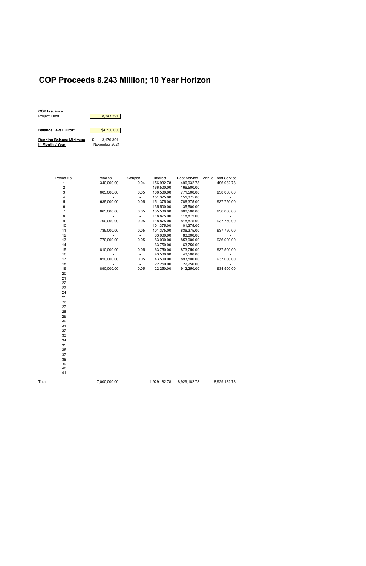## **COP Proceeds 8.243 Million; 10 Year Horizon**



| Period No.     | Principal  | Coupon | Interest   | <b>Debt Service</b> | <b>Annual Debt Service</b> |
|----------------|------------|--------|------------|---------------------|----------------------------|
| 1              | 340,000.00 | 0.04   | 156,932.78 | 496,932.78          | 496,932.78                 |
| $\overline{2}$ |            |        | 166,500.00 | 166,500.00          |                            |
| 3              | 605,000.00 | 0.05   | 166,500.00 | 771,500.00          | 938,000.00                 |
| 4              |            |        | 151,375.00 | 151,375.00          |                            |
| 5              | 635,000.00 | 0.05   | 151,375.00 | 786,375.00          | 937,750.00                 |
| 6              |            |        | 135,500.00 | 135,500.00          |                            |
| $\overline{7}$ | 665,000.00 | 0.05   | 135,500.00 | 800,500.00          | 936,000.00                 |
| 8              |            |        | 118,875.00 | 118,875.00          |                            |
| 9              | 700,000.00 | 0.05   | 118,875.00 | 818,875.00          | 937,750.00                 |
| 10             |            |        | 101,375.00 | 101,375.00          |                            |
| 11             | 735,000.00 | 0.05   | 101,375.00 | 836,375.00          | 937,750.00                 |
| 12             |            |        | 83,000.00  | 83,000.00           |                            |
| 13             | 770,000.00 | 0.05   | 83,000.00  | 853,000.00          | 936,000.00                 |
| 14             |            |        | 63,750.00  | 63,750.00           |                            |
| 15             | 810,000.00 | 0.05   | 63,750.00  | 873,750.00          | 937,500.00                 |
| 16             |            |        | 43,500.00  | 43,500.00           |                            |
| 17             | 850,000.00 | 0.05   | 43,500.00  | 893,500.00          | 937,000.00                 |
| 18             |            |        | 22,250.00  | 22,250.00           |                            |
| 19             | 890,000.00 | 0.05   | 22,250.00  | 912,250.00          | 934,500.00                 |
| 20             |            |        |            |                     |                            |
| 21             |            |        |            |                     |                            |
| 22             |            |        |            |                     |                            |
| 23             |            |        |            |                     |                            |
| 24             |            |        |            |                     |                            |
| 25             |            |        |            |                     |                            |
| 26             |            |        |            |                     |                            |
| 27             |            |        |            |                     |                            |
| 28             |            |        |            |                     |                            |
| 29             |            |        |            |                     |                            |
| 30             |            |        |            |                     |                            |
| 31             |            |        |            |                     |                            |
| 32             |            |        |            |                     |                            |

33

39 40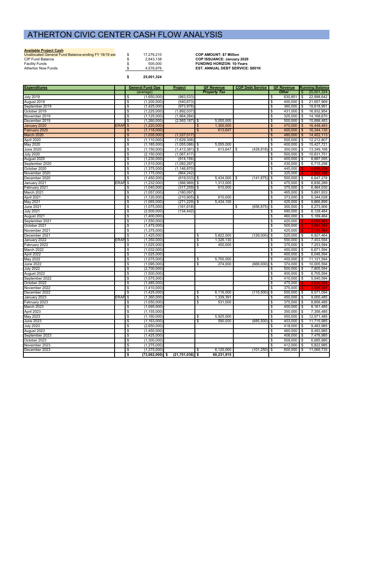### **Available Project Cash**

| Unallocated General Fund Balance-ending FY 18/19 est. | 17.276.210 | <b>COP AMOUNT: \$7 Million</b>          |
|-------------------------------------------------------|------------|-----------------------------------------|
| <b>CIP Fund Balance</b>                               | 2.643.138  | <b>COP ISSUANCE: January 2020</b>       |
| <b>Facility Funds</b>                                 | 505.000    | <b>FUNDING HORIZON: 10-Years</b>        |
| Atherton Now Funds                                    | 4.576.976  | <b>EST. ANNUAL DEBT SERVICE: \$801K</b> |
|                                                       |            |                                         |

**\$ 25,001,324**

| <b>Expenditures</b> |                    |               | <b>General Fund Ops</b> | <b>Project</b>      |     | <b>GF Revenue</b>   | <b>COP Debt Service</b> | <b>GF Revenue</b>                            |                           | <b>Running Balance</b> |
|---------------------|--------------------|---------------|-------------------------|---------------------|-----|---------------------|-------------------------|----------------------------------------------|---------------------------|------------------------|
|                     |                    |               | (average)               |                     |     | <b>Property Tax</b> |                         | <b>Other</b>                                 | $\mathfrak{L}$            | 25,001,324             |
| <b>July 2019</b>    |                    | \$            | (1,650,000)             | (983, 533)          |     |                     |                         | 630,851<br>-\$                               | \$                        | 22,998,642             |
| August 2019         |                    | \$            | (1,200,000)             | (540, 673)          |     |                     |                         | \$<br>400,000                                | I \$                      | 21,657,969             |
| September 2019      |                    | \$            | (1,425,000)             | (973, 978)          |     |                     |                         | \$<br>360,000                                | \$                        | 19,618,991             |
| October 2019        |                    | \$            | (1,225,000)             | (1,892,037)         |     |                     |                         | \$<br>431,000                                | -\$                       | 16,932,954             |
| November 2019       |                    | \$            | (1, 125, 000)           | (1,964,284)         |     |                     |                         | \$<br>325,000                                | \$                        | 14,168,670             |
| December 2019       |                    | \$            | (1,260,000)             | $(2,565,187)$ \$    |     | 5,055,000           |                         | \$<br>500,000                                | \$                        | 15,898,483             |
| January 2020        | ERAF <sub>\$</sub> |               | (1,220,000)             |                     | \$  | 1,300,000           |                         | $\boldsymbol{\phi}$<br>470,000               | $\boldsymbol{\mathsf{s}}$ | 16,448,483             |
| February 2020       |                    | \$            | (1, 118, 000)           |                     | \$  | 613,647             |                         | 400,000<br>$\frac{3}{2}$                     | \$                        | 16,344,130             |
| March 2020          |                    | $\frac{3}{2}$ | (1,035,000)             | (1, 337, 017)       |     |                     |                         | $\mathbf{\hat{s}}$<br>480,000                | \$                        | 14,452,113             |
| April 2020          |                    | \$            | (1,110,000)             | (1,629,306)         |     |                     |                         | \$<br>500,000                                | \$                        | 12,212,807             |
| May 2020            |                    | \$            | (1, 185, 000)           | $(1,055,086)$ \$    |     | 5,055,000           |                         | \$<br>400,000                                | \$                        | 15,427,721             |
| <b>June 2020</b>    |                    | \$            | (1, 150, 000)           | $(1,413,381)$ \$    |     | 613,647             | (428, 818)<br>\$        | 300,000<br><b>\$</b>                         | \$                        | 13,349,168             |
| <b>July 2020</b>    |                    | \$            | (2, 150, 000)           | (1,067,417)         |     |                     |                         | 500,000<br>\$                                | \$                        | 10,631,751             |
| August 2020         |                    | \$            | (1,230,000)             | (914, 156)          |     |                     |                         | \$<br>400,000                                | \$                        | 8,887,595              |
| September 2020      |                    | \$            | (1,510,000)             | (1,092,297)         |     |                     |                         | \$<br>430,000                                | \$                        | 6,715,298              |
| October 2020        |                    | \$            | (1,375,000)             | (1, 146, 870)       |     |                     |                         | 445,000<br>\$                                |                           | 4,638,428              |
| November 2020       |                    | \$            | (1, 175, 000)           | (864, 242)          |     |                     |                         | \$<br>325,000                                |                           | 2,924,186              |
| December 2020       |                    | \$            | (1,450,000)             | $(619, 033)$ \$     |     | 5,434,000           | $(141, 875)$ \$<br>\$   | $500,000$ \$                                 |                           | 6,647,278              |
| January 2021        | ERAF <sub>\$</sub> |               | (1,232,000)             | $(366,989)$ \$      |     | 1,313,000           |                         | \$<br>475,000                                | \$                        | 6,836,289              |
| February 2021       |                    | \$            | (1,040,000)             | $(317, 259)$ \$     |     | 610,000             |                         | 375,000<br>\$                                | <b>\$</b>                 | 6,464,030              |
| March 2021          |                    | \$            | (1,057,000)             | (180, 097)          |     |                     |                         | \$<br>465,000                                | \$                        | 5,691,933              |
| April 2021          |                    | \$            | (1, 120, 000)           | $(210, 905)$ \$     |     | 610,000             |                         | \$<br>373,000                                | \$                        | 5,344,028              |
| May 2021            |                    | \$            | (1,065,000)             | $(271, 229)$ \$     |     | 5,434,100           |                         | \$<br>425,000                                | \$                        | 9,866,899              |
| <b>June 2021</b>    |                    | \$            | (1,075,000)             | (161, 618)          |     |                     | (656, 875)<br>\$        | $\sqrt{3}$<br>300,500                        | \$                        | 8,273,906              |
| <b>July 2021</b>    |                    | \$            | (2,500,000)             | (134, 442)          |     |                     |                         | 490,000 \$<br>\$                             |                           | 6,129,464              |
| August 2021         |                    | \$            | (1,400,000)             |                     |     |                     |                         | \$<br>460,000                                | \$                        | 5,189,464              |
| September 2021      |                    | \$            | (1,550,000)             |                     |     |                     |                         | \$<br>420,000                                |                           | 4,059,464              |
| October 2021        |                    | \$            | (1,475,000)             |                     |     |                     |                         | \$<br>500,000                                |                           | 3,084,464              |
| November 2021       |                    | \$            | (1,375,000)             |                     |     |                     |                         | \$<br>425,000                                |                           | 2,134,464              |
| December 2021       |                    | -\$           | (1,425,000)             |                     | \$  | 5,822,000           | (129,000)               | 525,000<br><b>\$</b>                         | -\$                       | 6,927,464              |
| January 2022        | ERAF <sub>\$</sub> |               | (1,350,000)             |                     | \$  | 1,326,130           |                         | \$<br>550,000                                | -\$                       | 7,453,594              |
| February 2022       |                    | \$            | (1,025,000)             |                     | \$  | 450,000             |                         | \$<br>$375,000$ \$                           |                           | 7,253,594              |
| March 2022          |                    | \$            | (1,032,000)             |                     |     |                     |                         | \$<br>450,000                                | \$                        | 6,671,594              |
| April 2022          |                    | \$            | (1,025,000)             |                     |     |                     |                         | \$<br>400,000                                | \$                        | 6,046,594              |
| May 2022            |                    | \$            | (1,075,000)             |                     | \$  | 5,700,000           |                         | \$<br>450,000                                | \$                        | 11,121,594             |
| <b>June 2022</b>    |                    | \$            | (1,095,000)             |                     | \$  | 274,000             | $(669,000)$ \$          | 374,000                                      | \$                        | 10,005,594             |
| <b>July 2022</b>    |                    | \$            | (2,700,000)             |                     |     |                     |                         | 500,000<br>\$                                | -\$                       | 7,805,594              |
| August 2022         |                    | \$            | (1,500,000)             |                     |     |                     |                         | $\boldsymbol{\hat{\mathfrak{s}}}$<br>400,000 | -\$                       | 6,705,594              |
| September 2022      |                    | \$            | (1,575,000)             |                     |     |                     |                         | \$<br>410,000                                | <b>\$</b>                 | 5,540,594              |
| October 2022        |                    | \$            | (1,485,000)             |                     |     |                     |                         | \$<br>475,000                                |                           | 4,530,594              |
| November 2022       |                    | \$            | (1,410,000)             |                     |     |                     |                         | \$<br>375,000                                |                           | 3,495,594              |
| December 2022       |                    | -\$           | (1,425,000)             |                     | -\$ | 6,116,000           | $(115,500)$ \$          | $500,000$ \$                                 |                           | 8,571,094              |
| January 2023        | ERAF <sup>\$</sup> |               | (1,360,000)             |                     | \$  | 1,339,391           |                         | $\frac{3}{2}$<br>$450,000$ \$                |                           | 9,000,485              |
| February 2023       |                    | \$            | (1,050,000)             |                     | \$  | 531,000             |                         | \$<br>375,000                                | \$                        | 8,856,485              |
| March 2023          |                    | \$            | (1,095,000)             |                     |     |                     |                         | \$<br>400,000                                | I \$                      | 8,161,485              |
| April 2023          |                    | \$            | (1, 155, 000)           |                     |     |                     |                         | \$<br>350,000                                | -\$                       | 7,356,485              |
| May 2023            |                    | \$            | (1,160,000)             |                     | \$  | 5,925,000           |                         | \$<br>450,000                                | \$                        | 12,571,485             |
| <b>June 2023</b>    |                    | \$            | (1, 163, 000)           |                     | s,  | 590,000             | (685, 500)              | $\frac{1}{2}$<br>403,000                     | \$                        | 11,715,985             |
| <b>July 2023</b>    |                    | \$            | (2,650,000)             |                     |     |                     |                         | \$<br>418,000                                | \$                        | 9,483,985              |
| August 2023         |                    | \$            | (1,450,000)             |                     |     |                     |                         | \$<br>$460,000$ \$                           |                           | 8,493,985              |
| September 2023      |                    | \$            | (1,425,000)             |                     |     |                     |                         | \$<br>408,000                                | -\$                       | 7,476,985              |
| October 2023        |                    | \$            | (1,300,000)             |                     |     |                     |                         | $509,000$ \$<br>\$                           |                           | 6,685,985              |
| November 2023       |                    | \$            | (1,275,000)             |                     |     |                     |                         | \$<br>412,000                                | -\$                       | 5,822,985              |
| December 2023       |                    | \$            | (1,375,000)             |                     | \$  | 6,120,000           | $(101, 250)$ \$         | 600,000                                      | \$                        | 11,066,735             |
|                     |                    | Γ\$           | $(73,062,000)$ \$       | $(21, 701, 036)$ \$ |     | 60,231,915          |                         |                                              |                           |                        |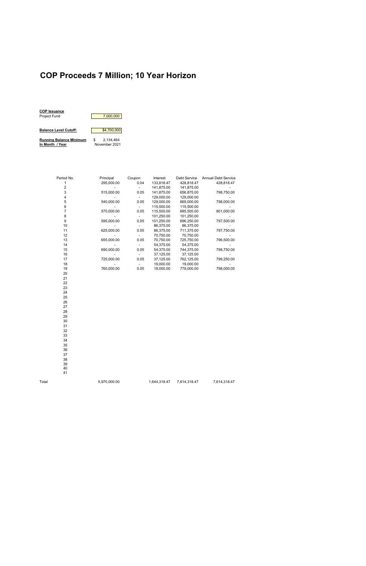### **COP Proceeds 7 Million; 10 Year Horizon**

| <b>COP Issuance</b>            |   |               |
|--------------------------------|---|---------------|
| <b>Project Fund</b>            |   | 7,000,000     |
|                                |   |               |
| <b>Balance Level Cutoff:</b>   |   | \$4,700,000   |
| <b>Running Balance Minimum</b> | S | 2.134.464     |
| In Month / Year                |   | November 2021 |

Period No. **Principal** Coupon Interest Debt Service Annual Debt Service 1 295,000.00 0.04 133,818.47 428,818.47 428,818.47 2 - - 141,875.00 141,875.00 - 3 515,000.00 0.05 141,875.00 656,875.00 798,750.00 - 129,000.00 129,000.00<br>540,000.00 0.05 129,000.00 669,000.00 798,000.00 5 540,000.00 0.05 129,000.00 669,000.00 798,000.00 6 - - 115,500.00 115,500.00 - 7 570,000.00 0.05 115,500.00 685,500.00<br>8 - 101,250.00 101,250.00 8 - - 101,250.00 101,250.00<br>9 595,000.00 0.05 101,250.00 696,250.00 797,500.00 9 595,000.00 0.05 101,250.00 696,250.00 10 - - 86,375.00 86,375.00<br>11 625,000.00 0.05 86,375.00 711,375.00 797,750.00 11 625,000.00 12 - - 70,750.00 70,750.00 - 13 655,000.00 0.05 70,750.00 725,750.00 14 - 15 - 54,375.00 54,375.00 - 54,375.00 54,375.00 54,375.00 54,375.00 54,375.00 54,375.00 54,375.00 54,375.00 15 690,000.00 0.05 54,375.00 744,375.00 798,750.00 16 - - 37,125.00 37,125.00 - 17 725,000.00 0.05 37,125.00 762,125.00 799,250.00 - 19,000.00 19,000.00 19 760,000.00 0.05 19,000.00 779,000.00 798,000.00 20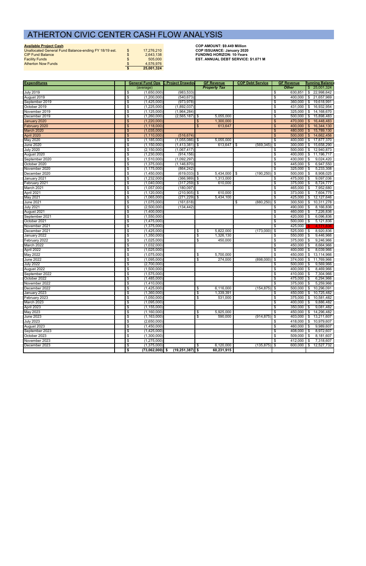| <b>Available Project Cash</b>                         |               |            | <b>COP AMOUNT: \$9,449 Million</b>         |
|-------------------------------------------------------|---------------|------------|--------------------------------------------|
| Unallocated General Fund Balance-ending FY 18/19 est. | $\mathcal{S}$ | 17.276.210 | <b>COP ISSUANCE: January 2020</b>          |
| <b>CIP Fund Balance</b>                               | \$            | 2.643.138  | <b>FUNDING HORIZON: 10-Years</b>           |
| <b>Facility Funds</b>                                 | \$            | 505,000    | <b>EST. ANNUAL DEBT SERVICE: \$1.071 M</b> |
| <b>Atherton Now Funds</b>                             | $\mathbf{f}$  | 4.576.976  |                                            |
|                                                       |               | 25,001,324 |                                            |

| <b>Expenditures</b> |                           | <b>General Fund Ops C Project Drawdov</b> |                   |      | <b>GF Revenue</b>   | <b>COP Debt Service</b> | <b>GF Revenue</b>                        | <b>Running Balance</b>   |
|---------------------|---------------------------|-------------------------------------------|-------------------|------|---------------------|-------------------------|------------------------------------------|--------------------------|
|                     |                           | (average)                                 |                   |      | <b>Property Tax</b> |                         | <b>Other</b>                             | $\frac{1}{2}$ 25,001,324 |
| <b>July 2019</b>    | \$                        | (1,650,000)                               | (983, 533)        |      |                     |                         | $630,851$ \$<br>\$                       | 22,998,642               |
| August 2019         | \$                        | (1,200,000)                               | (540, 673)        |      |                     |                         | \$                                       | 400,000 \$ 21,657,969    |
| September 2019      | \$                        | (1,425,000)                               | (973, 978)        |      |                     |                         | \$<br>$360,000$ \$                       | 19,618,991               |
| October 2019        | \$                        | (1,225,000)                               | (1,892,037)       |      |                     |                         | $431,000$ \$<br>\$                       | 16,932,954               |
| November 2019       | $\boldsymbol{\mathsf{s}}$ | (1, 125, 000)                             | (1,964,284)       |      |                     |                         | $325,000$ \$<br>\$                       | 14,168,670               |
| December 2019       | $\boldsymbol{\mathsf{s}}$ | (1,260,000)                               | (2, 565, 187)     | l \$ | 5,055,000           |                         | $\overline{\mathcal{S}}$                 | 500,000 \$ 15,898,483    |
| January 2020        | \$                        | (1,220,000)                               |                   | \$   | 1,300,000           |                         | 470,000 \$<br>\$                         | 16,448,483               |
| February 2020       | \$                        | (1, 118, 000)                             |                   | \$   | 613,647             |                         | 400,000<br>\$                            | 16,344,130<br><b>S</b>   |
| March 2020          | \$                        | (1,035,000)                               |                   |      |                     |                         | 480,000 \$<br>\$                         | 15,789,130               |
| April 2020          | \$                        | (1, 110, 000)                             | (516, 674)        |      |                     |                         | \$<br>500,000                            | 14,662,456<br>\$         |
| May 2020            | \$                        | (1, 185, 000)                             | $(1,055,086)$ \$  |      | 5,055,000           |                         | $\overline{\mathcal{S}}$<br>$400,000$ \$ | 17,877,370               |
| June 2020           | \$                        | (1, 150, 000)                             | $(1,413,381)$ \$  |      | $613,647$ \$        | (569, 345)              | $300,000$ \$<br>\$                       | 15,658,290               |
| <b>July 2020</b>    | \$                        | (2, 150, 000)                             | (1,067,417)       |      |                     |                         | $500,000$ \$<br>\$                       | 12,940,873               |
| August 2020         | \$                        | (1,230,000)                               | (914, 156)        |      |                     |                         | $400,000$ \$<br>\$                       | 11,196,717               |
| September 2020      | \$                        | (1,510,000)                               | (1,092,297)       |      |                     |                         | $\overline{\mathcal{S}}$<br>$430,000$ \$ | 9,024,420                |
| October 2020        | \$                        | (1,375,000)                               | (1, 146, 870)     |      |                     |                         | \$<br>445,000 \$                         | 6,947,550                |
| November 2020       | \$                        | (1, 175, 000)                             | (864, 242)        |      |                     |                         | \$<br>$325,000$ \$                       | 5,233,308                |
| December 2020       | \$                        | (1,450,000)                               | $(619, 033)$ \$   |      | $5,434,000$ \$      | $(190, 250)$ \$         | $500,000$ \$                             | 8,908,025                |
| January 2021        | \$                        | (1,232,000)                               | (366, 989)        | -\$  | 1,313,000           |                         | \$<br>475,000 \$                         | 9,097,036                |
| February 2021       | \$                        | (1,040,000)                               | $(317, 259)$ \$   |      | 610,000             |                         | $375,000$ \$<br>\$                       | 8,724,777                |
| March 2021          |                           | (1,057,000)                               | (180, 097)        |      |                     |                         | $465,000$ \$                             | 7,952,680                |
|                     | \$                        |                                           |                   |      |                     |                         | \$<br>$373,000$ \$                       | 7,604,775                |
| April 2021          | \$                        | (1,120,000)                               | $(210, 905)$ \$   |      | 610,000             |                         | \$<br>425,000                            |                          |
| May 2021            | $\boldsymbol{\mathsf{s}}$ | (1,065,000)                               | (271, 229)        | \$   | 5,434,100           |                         | \$                                       | 12,127,646<br><b>\$</b>  |
| <b>June 2021</b>    | \$                        | (1,075,000)                               | (161, 618)        |      |                     | (880, 250)<br>\$        | 300,500<br>\$                            | <b>\$</b><br>10,311,278  |
| <b>July 2021</b>    | \$                        | (2,500,000)                               | (134, 442)        |      |                     |                         | 490,000 \$<br>\$                         | 8,166,836                |
| August 2021         | \$                        | (1,400,000)                               |                   |      |                     |                         | $460,000$ \$<br>\$                       | 7,226,836                |
| September 2021      | \$                        | (1,550,000)                               |                   |      |                     |                         | $\overline{\mathcal{S}}$<br>$420,000$ \$ | 6,096,836                |
| October 2021        | \$                        | (1,475,000)                               |                   |      |                     |                         | \$<br>$500,000$ \$                       | 5,121,836                |
| November 2021       | \$                        | (1,375,000)                               |                   |      |                     |                         | $\overline{\mathcal{S}}$<br>425,000      | 4.171.836                |
| December 2021       | \$                        | (1,425,000)                               |                   | \$   | 5,822,000           | (173,000)               | $525,000$ \$<br>\$                       | 8,920,836                |
| January 2022        | $\boldsymbol{\mathsf{s}}$ | (1,350,000)                               |                   | \$   | 1,326,130           |                         | $550,000$ \$<br>\$                       | 9,446,966                |
| February 2022       | \$                        | (1,025,000)                               |                   | \$   | 450,000             |                         | $375,000$ \$<br>\$                       | 9,246,966                |
| March 2022          | \$                        | (1,032,000)                               |                   |      |                     |                         | \$<br>450,000                            | 8,664,966<br><b>\$</b>   |
| April 2022          | \$                        | (1,025,000)                               |                   |      |                     |                         | $400,000$ \$<br>\$                       | 8,039,966                |
| May 2022            | \$                        | (1,075,000)                               |                   | \$   | 5,700,000           |                         | \$<br>450,000 \$                         | 13,114,966               |
| <b>June 2022</b>    | \$                        | (1,095,000)                               |                   | \$   | 274,000             | (898,000)               | $374,000$ \$<br>\$                       | 11,769,966               |
| <b>July 2022</b>    | \$                        | (2,700,000)                               |                   |      |                     |                         | $500,000$ \$<br>\$                       | 9,569,966                |
| August 2022         | \$                        | (1,500,000)                               |                   |      |                     |                         | $400,000$ \$<br>\$                       | 8,469,966                |
| September 2022      | \$                        | (1,575,000)                               |                   |      |                     |                         | 410,000 \$<br>\$                         | 7,304,966                |
| October 2022        | \$                        | (1,485,000)                               |                   |      |                     |                         | 475,000 \$<br>\$                         | 6,294,966                |
| November 2022       | \$                        | (1,410,000)                               |                   |      |                     |                         | \$<br>$375,000$ \$                       | 5,259,966                |
| December 2022       | \$                        | (1,425,000)                               |                   | \$   | 6,116,000           | $(154, 875)$ \$         | $500,000$ \$                             | 10,296,091               |
| January 2023        | \$                        | (1,360,000)                               |                   | \$   | 1,339,391           |                         | \$                                       | 450,000 \$ 10,725,482    |
| February 2023       | \$                        | (1,050,000)                               |                   | \$   | 531,000             |                         | \$<br>$375,000$ \$                       | 10,581,482               |
| March 2023          | \$                        | (1,095,000)                               |                   |      |                     |                         | $400,000$ \$<br>\$                       | 9,886,482                |
| April 2023          | \$                        | (1, 155, 000)                             |                   |      |                     |                         | \$<br>$350,000$ \$                       | 9,081,482                |
| May 2023            | \$                        | (1,160,000)                               |                   | \$   | 5,925,000           |                         | $450,000$ \$<br>\$                       | 14,296,482               |
| <b>June 2023</b>    | $\boldsymbol{\mathsf{s}}$ | (1, 163, 000)                             |                   | \$   | 590,000             | (914, 875)              | \$<br>$403,000$ \$                       | 13,211,607               |
| <b>July 2023</b>    | \$                        | (2,650,000)                               |                   |      |                     |                         | $418,000$ \$<br>\$                       | 10,979,607               |
| August 2023         | \$                        | (1,450,000)                               |                   |      |                     |                         | \$<br>460,000 \$                         | 9,989,607                |
| September 2023      | \$                        | (1,425,000)                               |                   |      |                     |                         | \$<br>408,000 \$                         | 8,972,607                |
| October 2023        | \$                        | (1,300,000)                               |                   |      |                     |                         | $509,000$ \$<br>\$                       | 8,181,607                |
| November 2023       | \$                        | (1,275,000)                               |                   |      |                     |                         | \$<br>412,000 \$                         | 7,318,607                |
| December 2023       | \$                        | (1,375,000)                               |                   | \$   | 6,120,000           | $(135, 875)$ \$         | $600,000$ \$                             | 12,527,732               |
|                     | \$                        | $(73,062,000)$ \$                         | $(19,251,387)$ \$ |      | 60,231,915          |                         |                                          |                          |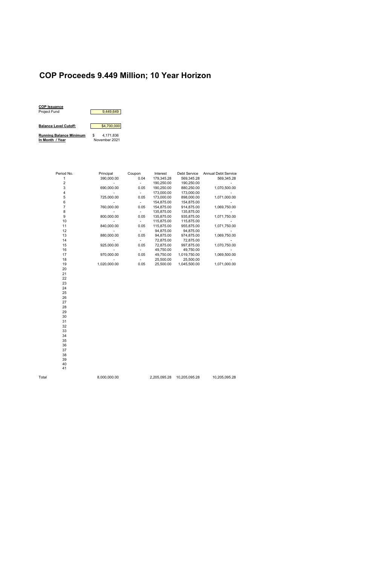# **COP Proceeds 9.449 Million; 10 Year Horizon**



| Period No. | Principal    | Coupon | Interest   | Debt Service | <b>Annual Debt Service</b> |
|------------|--------------|--------|------------|--------------|----------------------------|
|            | 390,000.00   | 0.04   | 179,345.28 | 569,345.28   | 569,345.28                 |
| 2          |              |        | 190,250.00 | 190,250.00   |                            |
| 3          | 690,000.00   | 0.05   | 190,250.00 | 880,250.00   | 1,070,500.00               |
| 4          |              |        | 173,000.00 | 173,000.00   |                            |
| 5          | 725,000.00   | 0.05   | 173,000.00 | 898,000.00   | 1,071,000.00               |
| 6          |              |        | 154.875.00 | 154,875.00   |                            |
|            | 760,000.00   | 0.05   | 154,875.00 | 914,875.00   | 1,069,750.00               |
| 8          |              |        | 135,875.00 | 135,875.00   |                            |
| 9          | 800,000.00   | 0.05   | 135,875.00 | 935,875.00   | 1,071,750.00               |
| 10         |              |        | 115,875.00 | 115,875.00   |                            |
| 11         | 840,000.00   | 0.05   | 115,875.00 | 955,875.00   | 1,071,750.00               |
| 12         |              |        | 94,875.00  | 94,875.00    |                            |
| 13         | 880,000.00   | 0.05   | 94,875.00  | 974,875.00   | 1,069,750.00               |
| 14         |              |        | 72,875.00  | 72,875.00    |                            |
| 15         | 925,000.00   | 0.05   | 72,875.00  | 997,875.00   | 1,070,750.00               |
| 16         |              |        | 49,750.00  | 49,750.00    |                            |
| 17         | 970,000.00   | 0.05   | 49,750.00  | 1,019,750.00 | 1,069,500.00               |
| 18         |              |        | 25,500.00  | 25,500.00    |                            |
| 19         | 1,020,000.00 | 0.05   | 25,500.00  | 1,045,500.00 | 1,071,000.00               |
| 20         |              |        |            |              |                            |
|            |              |        |            |              |                            |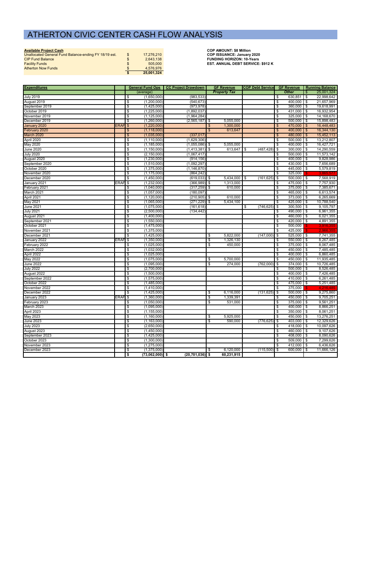|  |  | Available Project Cash |
|--|--|------------------------|
|  |  |                        |

**Available Project Cash COP AMOUNT: \$8 Million**

| Unallocated General Fund Balance-ending FY 18/19 est. | 17.276.210 | <b>COP ISSUANCE: January 2020</b>        |
|-------------------------------------------------------|------------|------------------------------------------|
| <b>CIP Fund Balance</b>                               | 2.643.138  | <b>FUNDING HORIZON: 10-Years</b>         |
| <b>Facility Funds</b>                                 | 505,000    | <b>EST. ANNUAL DEBT SERVICE: \$912 K</b> |
| <b>Atherton Now Funds</b>                             | 4.576.976  |                                          |
|                                                       | 25,001,324 |                                          |

| <b>Expenditures</b>           |                    |                         | General Fund Ops   CC Project Drawdown | <b>GF Revenue</b> |                     | <b>COP Debt Service</b> |                 | <b>GF Revenue</b>                |                         |                | <b>Running Balance</b> |
|-------------------------------|--------------------|-------------------------|----------------------------------------|-------------------|---------------------|-------------------------|-----------------|----------------------------------|-------------------------|----------------|------------------------|
|                               |                    | (average)               |                                        |                   | <b>Property Tax</b> |                         |                 |                                  | <b>Other</b>            | -\$            | 25,001,324             |
| <b>July 2019</b>              |                    | \$<br>(1,650,000)       | (983, 533)                             |                   |                     |                         |                 | -\$                              | 630,851                 | $\sqrt{3}$     | 22,998,642             |
| August 2019                   |                    | \$<br>(1,200,000)       | (540, 673)                             |                   |                     |                         |                 | \$                               | 400,000                 | $\overline{1}$ | 21,657,969             |
| September 2019                |                    | \$<br>(1,425,000)       | (973, 978)                             |                   |                     |                         |                 | \$                               | $360,000$ \$            |                | 19,618,991             |
| October 2019                  |                    | \$<br>(1,225,000)       | (1,892,037)                            |                   |                     |                         |                 | \$                               | 431,000                 | l \$           | 16,932,954             |
| November 2019                 |                    | \$<br>(1, 125, 000)     | (1,964,284)                            |                   |                     |                         |                 | \$                               | $325,000$ \$            |                | 14,168,670             |
| December 2019                 |                    | \$<br>(1,260,000)       | $(2,565,187)$ \$                       |                   | 5,055,000           |                         |                 | $\overline{\boldsymbol{\theta}}$ | $500,000$ \$            |                | 15,898,483             |
| January 2020                  | ERAF <sub>\$</sub> | (1,220,000)             |                                        |                   | 1,300,000           |                         |                 | $\frac{3}{2}$                    | $470,000$ \$            |                | 16,448,483             |
| February 2020                 |                    | \$<br>(1, 118, 000)     |                                        | \$                | 613,647             |                         |                 | $\boldsymbol{\theta}$            | 400,000                 | l \$           | 16,344,130             |
| March 2020                    |                    | \$<br>(1,035,000)       | (337, 017)                             |                   |                     |                         |                 | \$                               | 480,000                 | -\$            | 15,452,113             |
| April 2020                    |                    | \$<br>(1, 110, 000)     | (1,629,306)                            |                   |                     |                         |                 | \$                               | 500,000                 | $\blacksquare$ | 13,212,807             |
| May 2020                      |                    | \$<br>(1, 185, 000)     | $(1,055,086)$ \$                       |                   | 5,055,000           |                         |                 | \$                               | 400,000                 | I \$           | 16,427,721             |
| <b>June 2020</b>              |                    | \$<br>(1, 150, 000)     | $(1,413,381)$ \$                       |                   | 613,647             | \$                      | (487, 428)      | θ,                               | $300,000$ \$            |                | 14,290,559             |
| <b>July 2020</b>              |                    | \$<br>(2, 150, 000)     | (1,067,417)                            |                   |                     |                         |                 | \$                               | $500,000$ \$            |                | 11,573,142             |
| August 2020                   |                    | \$<br>(1,230,000)       | (914, 156)                             |                   |                     |                         |                 | \$                               | 400,000 \$              |                | 9,828,986              |
| September 2020                |                    | \$<br>(1,510,000)       | (1,092,297)                            |                   |                     |                         |                 | \$                               | 430,000 \$              |                | 7,656,689              |
| October 2020                  |                    | \$<br>(1,375,000)       | (1, 146, 870)                          |                   |                     |                         |                 | \$                               | 445,000 \$              |                | 5,579,819              |
| November 2020                 |                    | \$<br>(1, 175, 000)     | (864, 242)                             |                   |                     |                         |                 | \$                               | 325,000                 |                | 3,865,577              |
| December 2020                 |                    | \$<br>(1,450,000)       | $(619, 033)$ \$                        |                   | 5,434,000           | \$                      | (161, 625)      | $\sqrt[3]{2}$                    | 500,000                 | I \$           | 7,568,919              |
| January 2021                  | ERAF <sub>\$</sub> | (1,232,000)             | $(366,989)$ \$                         |                   | 1,313,000           |                         |                 | \$                               | 475,000 \$              |                | 7,757,930              |
| February 2021                 |                    | \$<br>(1,040,000)       | $(317, 259)$ \$                        |                   | 610,000             |                         |                 | \$                               | 375,000                 | $\sqrt{3}$     | 7,385,671              |
| March 2021                    |                    | \$<br>(1,057,000)       | (180, 097)                             |                   |                     |                         |                 | \$                               | $465,000$ \$            |                | 6,613,574              |
| April 2021                    |                    | \$<br>(1, 120, 000)     | $(210,905)$ \$                         |                   | 610,000             |                         |                 | \$                               | 373,000                 | $\sqrt{3}$     | 6,265,669              |
| May 2021                      |                    | \$<br>(1,065,000)       | $(271, 229)$ \$                        |                   | 5,434,100           |                         |                 | \$                               | $425,000$ \$            |                | 10,788,540             |
| <b>June 2021</b>              |                    | \$<br>(1,075,000)       | (161, 618)                             |                   |                     | \$                      | (746, 625)      | \$                               | $300,500$ \$            |                | 9,105,797              |
| <b>July 2021</b>              |                    | \$<br>(2,500,000)       | (134, 442)                             |                   |                     |                         |                 | \$                               | 490,000                 | $\blacksquare$ | 6,961,355              |
| August 2021                   |                    | \$<br>(1,400,000)       |                                        |                   |                     |                         |                 | $\frac{1}{2}$                    | 460,000 \$              |                | 6,021,355              |
| September 2021                |                    | \$<br>(1,550,000)       |                                        |                   |                     |                         |                 | \$                               | 420,000                 | $\overline{1}$ | 4,891,355              |
| October 2021                  |                    | \$<br>(1,475,000)       |                                        |                   |                     |                         |                 | \$                               | 500,000                 |                | 3,916,355              |
| November 2021                 |                    | \$<br>(1,375,000)       |                                        |                   |                     |                         |                 | \$                               | 425,000                 |                | 2,966,355              |
| December 2021                 |                    | \$<br>(1,425,000)       |                                        | \$                | 5,822,000           |                         | (147,000)       | \$                               | $525,000$ \$            |                | 7,741,355              |
| January 2022                  | ERAF <sub>\$</sub> | (1,350,000)             |                                        | \$                | 1,326,130           |                         |                 | -\$                              | $550,000$ \$            |                | 8,267,485              |
| February 2022                 |                    | \$<br>(1,025,000)       |                                        | \$                | 450,000             |                         |                 | \$                               | $375,000$ \$            |                | 8,067,485              |
| March 2022                    |                    | \$<br>(1,032,000)       |                                        |                   |                     |                         |                 | $\boldsymbol{\phi}$              | $450,000$ \$            |                | 7,485,485              |
| April 2022                    |                    | \$<br>(1,025,000)       |                                        |                   |                     |                         |                 | \$                               | 400,000                 | I \$           | 6,860,485              |
| May 2022                      |                    | \$<br>(1,075,000)       |                                        | \$                | 5,700,000           |                         |                 | \$                               | $450,000$ \$            |                | 11,935,485             |
| <b>June 2022</b>              |                    | \$<br>(1,095,000)       |                                        | \$                | 274,000             |                         | (762,000)       | $\frac{1}{2}$                    | 374,000                 | $\overline{1\$ | 10,726,485             |
| <b>July 2022</b>              |                    | \$<br>(2,700,000)       |                                        |                   |                     |                         |                 | \$                               | $500,000$ \$            |                | 8,526,485              |
| August 2022                   |                    | \$<br>(1,500,000)       |                                        |                   |                     |                         |                 | \$                               | $400,000$ \$            |                | 7,426,485              |
| September 2022                |                    | \$<br>(1, 575, 000)     |                                        |                   |                     |                         |                 | \$                               | $410,000$ \$            |                | 6,261,485              |
| October 2022                  |                    | \$<br>(1,485,000)       |                                        |                   |                     |                         |                 | \$                               | 475,000 \$              |                | 5,251,485              |
| November 2022                 |                    | \$<br>(1,410,000)       |                                        |                   |                     |                         |                 | \$                               | 375,000                 |                |                        |
| December 2022<br>January 2023 |                    | \$<br>(1,425,000)       |                                        | \$                | 6,116,000           |                         | $(131, 625)$ \$ |                                  | 500,000 \$              |                | 9,275,860              |
|                               | ERAF <sub>\$</sub> | (1,360,000)             |                                        | \$                | 1,339,391           |                         |                 | \$                               | $\overline{450,000}$ \$ |                | 9,705,251              |
| February 2023                 |                    | \$<br>(1,050,000)       |                                        | \$                | 531,000             |                         |                 | $\bullet$                        | $375,000$ \$            |                | 9,561,251              |
| March 2023                    |                    | \$<br>(1,095,000)       |                                        |                   |                     |                         |                 | \$                               | $400,000$ \$            |                | 8,866,251              |
| April 2023                    |                    | \$<br>(1, 155, 000)     |                                        |                   |                     |                         |                 | \$                               | $350,000$ \$            |                | 8,061,251              |
| May 2023                      |                    | \$<br>(1,160,000)       |                                        | \$                | 5,925,000           |                         |                 | \$                               | 450,000 \$              |                | 13,276,251             |
| <b>June 2023</b>              |                    | \$<br>(1, 163, 000)     |                                        | \$                | 590,000             |                         | $(776, 625)$ \$ |                                  | 403,000 \$              |                | 12,329,626             |
| <b>July 2023</b>              |                    | \$<br>(2,650,000)       |                                        |                   |                     |                         |                 | \$                               | 418,000 \$              |                | 10,097,626             |
| August 2023                   |                    | \$<br>(1,450,000)       |                                        |                   |                     |                         |                 | $\boldsymbol{\theta}$            | 460,000 \$              |                | 9,107,626              |
| September 2023                |                    | \$<br>(1,425,000)       |                                        |                   |                     |                         |                 | $\boldsymbol{\theta}$            | 408,000 \$              |                | 8,090,626              |
| October 2023                  |                    | \$<br>(1,300,000)       |                                        |                   |                     |                         |                 | \$                               | $509,000$ \$            |                | 7,299,626              |
| November 2023                 |                    | \$<br>(1,275,000)       |                                        |                   |                     |                         |                 | -\$                              | $412,000$ \$            |                | 6,436,626              |
| December 2023                 |                    | \$<br>(1,375,000)       |                                        | \$                | 6,120,000           |                         | $(115,500)$ \$  |                                  | $600,000$ \$            |                | 11,666,126             |
|                               |                    | \$<br>$(73,062,000)$ \$ | $(20, 701, 036)$ \$                    |                   | 60,231,915          |                         |                 |                                  |                         |                |                        |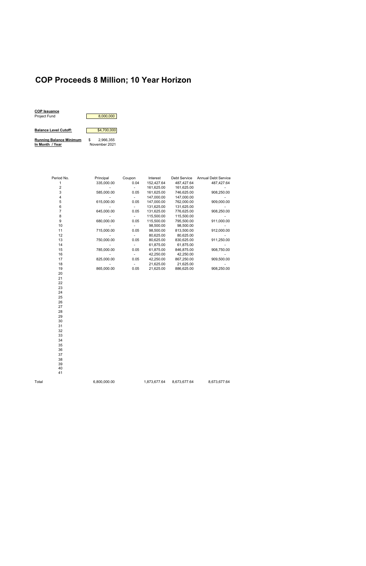### **COP Proceeds 8 Million; 10 Year Horizon**

| <b>COP Issuance</b>            |   |               |
|--------------------------------|---|---------------|
| <b>Project Fund</b>            |   | 8.000.000     |
|                                |   |               |
| <b>Balance Level Cutoff:</b>   |   | \$4,700,000   |
| <b>Running Balance Minimum</b> | S | 2.966.355     |
| In Month / Year                |   | November 2021 |

Period No. Principal Coupon Interest Debt Service Annual Debt Service 1 335,000.00 0.04 152,427.64 487,427.64 487,427.64 161,625.00 3 585,000.00 0.05 161,625.00 746,625.00 908,250.00 4 - - 147,000.00 147,000.00 - 5 615,000.00 0.05 147,000.00 762,000.00 6 - - 131,625.00 131,625.00<br>7 645,000.00 0.05 131,625.00 776,625.00 908,250.00 7 645,000.00 0.05 131,625.00 776,625.00 8 - - 115,500.00 115,500.00<br>115,500.00 0.05 115,500.00 0.05 9 680,000.00 9 680,000.00 0.05 115,500.00 795,500.00 911,000.00 10 - - 98,500.00 98,500.00 - 11 715,000.00 0.05 98,500.00 813,500.00<br>12 - 80,625.00 80,625.00 12 - 80,625.00<br>13 750,000.00 0.05 80,625.00 13 750,000.00 0.05 80,625.00 830,625.00 911,250.00 14 - - 61,875.00 61,875.00<br>15 - 785,000.00 0.05 61,875.00 846,875.00 15 785,000.00 0.05 61,875.00 846,875.00 908,750.00 42,250.00 17 825,000.00 0.05 42,250.00 867,250.00 909,500.00  $- 21,625.00$ 19 865,000.00 0.05 21,625.00 886,625.00 908,250.00 20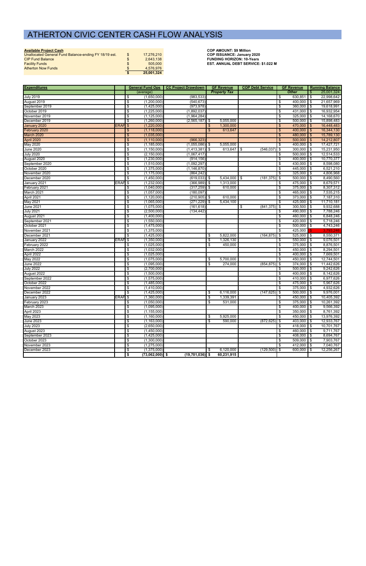|  |  | Available Project Cash |
|--|--|------------------------|
|  |  |                        |

**Available Project Cash COP AMOUNT: \$9 Million**

| Unallocated General Fund Balance-ending FY 18/19 est. | 17.276.210 | <b>COP ISSUANCE: January 2020</b>          |
|-------------------------------------------------------|------------|--------------------------------------------|
| <b>CIP Fund Balance</b>                               | 2.643.138  | <b>FUNDING HORIZON: 10-Years</b>           |
| <b>Facility Funds</b>                                 | 505,000    | <b>EST. ANNUAL DEBT SERVICE: \$1.022 M</b> |
| <b>Atherton Now Funds</b>                             | 4.576.976  |                                            |
|                                                       | 25,001,324 |                                            |

| <b>Expenditures</b> |                    |                                          | General Fund Ops   CC Project Drawdown | <b>GF Revenue</b>   | <b>COP Debt Service</b>  | <b>GF Revenue</b>        | <b>Running Balance</b>                  |
|---------------------|--------------------|------------------------------------------|----------------------------------------|---------------------|--------------------------|--------------------------|-----------------------------------------|
|                     |                    | (average)                                |                                        | <b>Property Tax</b> |                          | <b>Other</b>             | 25,001,324<br>\$                        |
| <b>July 2019</b>    |                    | (1,650,000)<br>\$                        | (983, 533)                             |                     |                          | 630,851<br>\$            | 22,998,642<br>  \$                      |
| August 2019         |                    | \$<br>(1,200,000)                        | (540, 673)                             |                     |                          | \$<br>400,000 \$         | 21,657,969                              |
| September 2019      |                    | (1,425,000)<br>\$                        | (973, 978)                             |                     |                          | $360,000$ \$<br>\$       | 19,618,991                              |
| October 2019        |                    | $\sqrt[6]{\frac{2}{5}}$<br>(1,225,000)   | (1,892,037)                            |                     |                          | $431,000$ \$<br>\$       | 16,932,954                              |
| November 2019       |                    | \$<br>(1, 125, 000)                      | (1,964,284)                            |                     |                          | $325,000$ \$<br>\$       | 14,168,670                              |
| December 2019       |                    | \$<br>(1,260,000)                        | (2, 565, 187)                          | 5,055,000<br>\$     |                          | $500,000$ \$<br>\$       | 15,898,483                              |
| January 2020        | ERAF               | (1,220,000)<br>$\boldsymbol{\mathsf{S}}$ |                                        | 1,300,000           |                          | 470,000<br>\$            | 16,448,483<br>$\boldsymbol{\mathsf{s}}$ |
| February 2020       |                    | (1, 118, 000)<br>$\frac{3}{2}$           |                                        | 613,647<br>\$       |                          | 400,000<br>\$            | 16,344,130<br>\$                        |
| March 2020          |                    | (1,035,000)<br>$\frac{1}{2}$             |                                        |                     |                          | 480,000<br>S             | 15,789,130<br>$\frac{1}{2}$             |
| April 2020          |                    | (1, 110, 000)<br>$\mathfrak{s}$          | (966, 323)                             |                     |                          | 500,000<br>\$            | 14,212,807<br>\$                        |
| May 2020            |                    | \$<br>(1, 185, 000)                      | (1,055,086)                            | 5,055,000<br>-\$    |                          | $400,000$ \$<br>\$       | 17,427,721                              |
| <b>June 2020</b>    |                    | \$<br>(1, 150, 000)                      | $(1,413,381)$ \$                       | 613,647             | (546, 037)<br>$\sqrt{3}$ | $300,000$ \$<br>  \$     | 15,231,950                              |
| <b>July 2020</b>    |                    | \$<br>(2, 150, 000)                      | (1,067,417)                            |                     |                          | $500,000$ \$<br>\$       | 12,514,533                              |
| August 2020         |                    | \$<br>(1,230,000)                        | (914, 156)                             |                     |                          | \$<br>400,000            | 10,770,377<br>l \$                      |
| September 2020      |                    | \$<br>(1,510,000)                        | (1,092,297)                            |                     |                          | 430,000 \$<br>\$         | 8,598,080                               |
| October 2020        |                    | \$<br>(1,375,000)                        | (1, 146, 870)                          |                     |                          | $445,000$ \$<br>\$       | 6,521,210                               |
| November 2020       |                    | (1, 175, 000)<br>\$                      | (864, 242)                             |                     |                          | $325,000$ \$<br>\$       | 4,806,968                               |
| December 2020       |                    | \$<br>(1,450,000)                        | $(619,033)$ \$                         | $5,434,000$ \$      | (181, 375)               | $500,000$ \$<br>  \$     | 8,490,560                               |
| January 2021        | ERAF <sup>\$</sup> | (1,232,000)                              | $(366,989)$ \$                         | 1,313,000           |                          | 475,000 \$<br>\$         | 8,679,571                               |
| February 2021       |                    | \$<br>(1,040,000)                        | (317, 259)                             | \$<br>610,000       |                          | $375,000$ \$<br>\$       | 8,307,312                               |
| March 2021          |                    | \$<br>(1,057,000)                        | (180, 097)                             |                     |                          | 465,000 \$<br>\$         | 7,535,215                               |
| April 2021          |                    | \$<br>(1, 120, 000)                      | $(210,905)$ \$                         | 610,000             |                          | $373,000$ \$<br>\$       | 7,187,310                               |
| May 2021            |                    | \$<br>(1,065,000)                        | (271, 229)                             | \$<br>5,434,100     |                          | 425,000<br>\$            | l \$<br>11,710,181                      |
| <b>June 2021</b>    |                    | \$<br>(1,075,000)                        | (161, 618)                             |                     | (841, 375)<br>\$         | $300,500$ \$<br><b>S</b> | 9,932,688                               |
| <b>July 2021</b>    |                    | \$<br>(2,500,000)                        | (134, 442)                             |                     |                          | 490,000 \$<br>\$         | 7,788,246                               |
| August 2021         |                    | (1,400,000)<br>\$                        |                                        |                     |                          | 460,000 \$<br>\$         | 6,848,246                               |
| September 2021      |                    | \$<br>(1,550,000)                        |                                        |                     |                          | \$<br>420,000 \$         | 5,718,246                               |
| October 2021        |                    | $\overline{\mathcal{S}}$<br>(1,475,000)  |                                        |                     |                          | $500,000$ \$<br>\$       | 4,743,246                               |
| November 2021       |                    | $\sqrt[6]{\frac{2}{5}}$<br>(1,375,000)   |                                        |                     |                          | 425,000<br>\$            | 3,793,246                               |
| December 2021       |                    | s,<br>(1,425,000)                        |                                        | 5,822,000<br>\$     | (164, 875)               | $525,000$ \$<br>  \$     | 8,550,371                               |
| January 2022        | ERAF <sub>\$</sub> | (1,350,000)                              |                                        | 1,326,130<br>\$     |                          | $550,000$ \$<br>\$       | 9,076,501                               |
| February 2022       |                    | \$<br>(1,025,000)                        |                                        | \$<br>450,000       |                          | 375,000<br>\$            | \$<br>8,876,501                         |
| March 2022          |                    | (1,032,000)<br>\$                        |                                        |                     |                          | $450,000$ \$<br>\$       | 8,294,501                               |
| April 2022          |                    | \$<br>(1,025,000)                        |                                        |                     |                          | $400,000$ \$<br>\$       | 7,669,501                               |
| May 2022            |                    | (1,075,000)<br>\$                        |                                        | 5,700,000<br>\$     |                          | $450,000$ \$<br>\$       | 12,744,501                              |
| <b>June 2022</b>    |                    | \$<br>(1,095,000)                        |                                        | \$<br>274,000       | (854, 875)               | $374,000$ \$<br>  \$     | 11,442,626                              |
| <b>July 2022</b>    |                    | \$<br>(2,700,000)                        |                                        |                     |                          | $500,000$ \$<br>\$       | 9,242,626                               |
| August 2022         |                    | (1,500,000)<br>\$                        |                                        |                     |                          | 400,000 \$<br>\$         | 8,142,626                               |
| September 2022      |                    | \$<br>(1,575,000)                        |                                        |                     |                          | \$<br>410,000 \$         | 6,977,626                               |
| October 2022        |                    | \$<br>(1,485,000)                        |                                        |                     |                          | 475,000 \$<br>-\$        | 5,967,626                               |
| November 2022       |                    | \$<br>(1,410,000)                        |                                        |                     |                          | $375,000$ \$<br>\$       | 4,932,626                               |
| December 2022       |                    | (1,425,000)<br>\$                        |                                        | 6,116,000<br>\$.    | (147, 625)               | $500,000$ \$<br>l \$     | 9,976,001                               |
| January 2023        | ERAF <sub>\$</sub> | (1,360,000)                              |                                        | \$<br>1,339,391     |                          | \$<br>450,000 \$         | 10,405,392                              |
| February 2023       |                    | (1,050,000)<br>\$                        |                                        | \$<br>531,000       |                          | $375,000$ \$<br>\$       | 10,261,392                              |
| March 2023          |                    | \$<br>(1,095,000)                        |                                        |                     |                          | \$<br>400,000 \$         | 9,566,392                               |
| April 2023          |                    | \$<br>(1, 155, 000)                      |                                        |                     |                          | $350,000$ \$<br>-\$      | 8,761,392                               |
| May 2023            |                    | \$<br>(1, 160, 000)                      |                                        | 5,925,000<br>\$     |                          | \$<br>450,000 \$         | 13,976,392                              |
| <b>June 2023</b>    |                    | \$<br>(1, 163, 000)                      |                                        | \$<br>590,000       | (872, 625)               | \$<br>403,000 \$         | 12,933,767                              |
| <b>July 2023</b>    |                    | \$<br>(2,650,000)                        |                                        |                     |                          | 418,000 \$<br>\$         | 10,701,767                              |
| August 2023         |                    | \$<br>(1,450,000)                        |                                        |                     |                          | \$<br>460,000 \$         | 9,711,767                               |
| September 2023      |                    | (1,425,000)<br>\$                        |                                        |                     |                          | 408,000 \$<br>\$         | 8,694,767                               |
| October 2023        |                    | \$<br>(1,300,000)                        |                                        |                     |                          | $509,000$ \$<br>\$       | 7,903,767                               |
| November 2023       |                    | (1,275,000)<br>\$                        |                                        |                     |                          | $412,000$ \$<br>\$       | 7,040,767                               |
| December 2023       |                    | $\sqrt[6]{\frac{2}{5}}$<br>(1,375,000)   |                                        | 6,120,000<br>\$     | $(129,500)$ \$           | $600,000$ \$             | 12,256,267                              |
|                     |                    | $(73,062,000)$ \$<br>\$                  | $(19, 701, 036)$ \$                    | 60,231,915          |                          |                          |                                         |